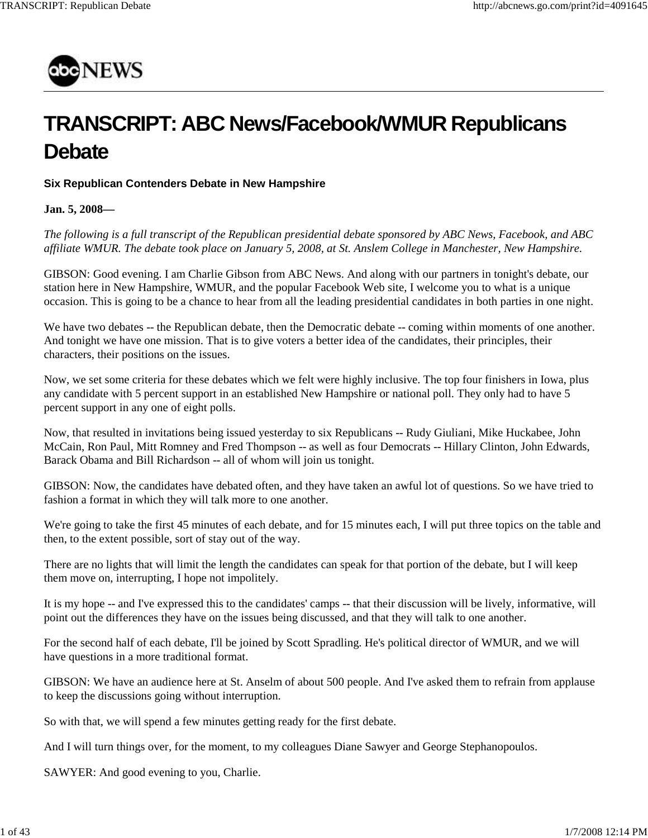

# **TRANSCRIPT: ABC News/Facebook/WMUR Republicans Debate**

**Six Republican Contenders Debate in New Hampshire**

# **Jan. 5, 2008—**

*The following is a full transcript of the Republican presidential debate sponsored by ABC News, Facebook, and ABC affiliate WMUR. The debate took place on January 5, 2008, at St. Anslem College in Manchester, New Hampshire.*

GIBSON: Good evening. I am Charlie Gibson from ABC News. And along with our partners in tonight's debate, our station here in New Hampshire, WMUR, and the popular Facebook Web site, I welcome you to what is a unique occasion. This is going to be a chance to hear from all the leading presidential candidates in both parties in one night.

We have two debates -- the Republican debate, then the Democratic debate -- coming within moments of one another. And tonight we have one mission. That is to give voters a better idea of the candidates, their principles, their characters, their positions on the issues.

Now, we set some criteria for these debates which we felt were highly inclusive. The top four finishers in Iowa, plus any candidate with 5 percent support in an established New Hampshire or national poll. They only had to have 5 percent support in any one of eight polls.

Now, that resulted in invitations being issued yesterday to six Republicans -- Rudy Giuliani, Mike Huckabee, John McCain, Ron Paul, Mitt Romney and Fred Thompson -- as well as four Democrats -- Hillary Clinton, John Edwards, Barack Obama and Bill Richardson -- all of whom will join us tonight.

GIBSON: Now, the candidates have debated often, and they have taken an awful lot of questions. So we have tried to fashion a format in which they will talk more to one another.

We're going to take the first 45 minutes of each debate, and for 15 minutes each, I will put three topics on the table and then, to the extent possible, sort of stay out of the way.

There are no lights that will limit the length the candidates can speak for that portion of the debate, but I will keep them move on, interrupting, I hope not impolitely.

It is my hope -- and I've expressed this to the candidates' camps -- that their discussion will be lively, informative, will point out the differences they have on the issues being discussed, and that they will talk to one another.

For the second half of each debate, I'll be joined by Scott Spradling. He's political director of WMUR, and we will have questions in a more traditional format.

GIBSON: We have an audience here at St. Anselm of about 500 people. And I've asked them to refrain from applause to keep the discussions going without interruption.

So with that, we will spend a few minutes getting ready for the first debate.

And I will turn things over, for the moment, to my colleagues Diane Sawyer and George Stephanopoulos.

SAWYER: And good evening to you, Charlie.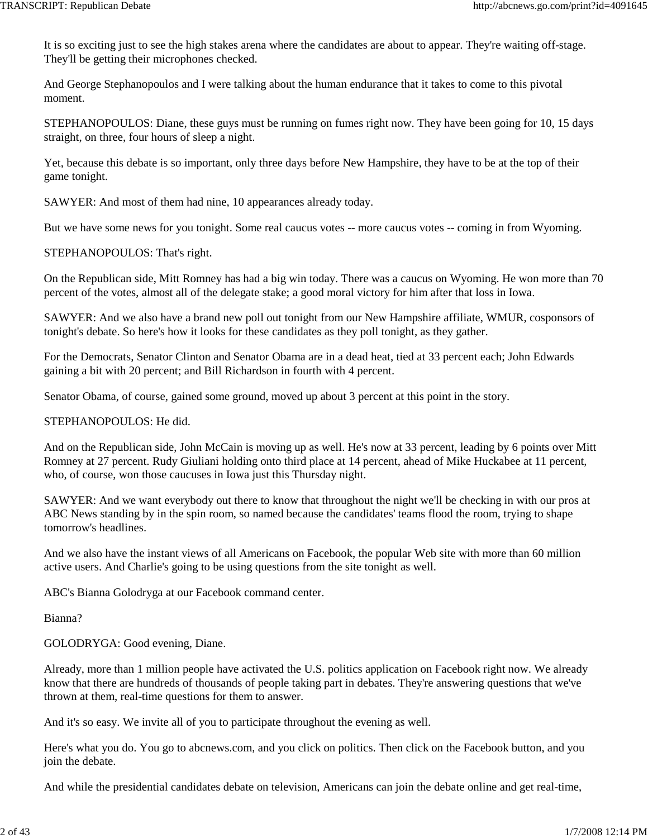It is so exciting just to see the high stakes arena where the candidates are about to appear. They're waiting off-stage. They'll be getting their microphones checked.

And George Stephanopoulos and I were talking about the human endurance that it takes to come to this pivotal moment.

STEPHANOPOULOS: Diane, these guys must be running on fumes right now. They have been going for 10, 15 days straight, on three, four hours of sleep a night.

Yet, because this debate is so important, only three days before New Hampshire, they have to be at the top of their game tonight.

SAWYER: And most of them had nine, 10 appearances already today.

But we have some news for you tonight. Some real caucus votes -- more caucus votes -- coming in from Wyoming.

# STEPHANOPOULOS: That's right.

On the Republican side, Mitt Romney has had a big win today. There was a caucus on Wyoming. He won more than 70 percent of the votes, almost all of the delegate stake; a good moral victory for him after that loss in Iowa.

SAWYER: And we also have a brand new poll out tonight from our New Hampshire affiliate, WMUR, cosponsors of tonight's debate. So here's how it looks for these candidates as they poll tonight, as they gather.

For the Democrats, Senator Clinton and Senator Obama are in a dead heat, tied at 33 percent each; John Edwards gaining a bit with 20 percent; and Bill Richardson in fourth with 4 percent.

Senator Obama, of course, gained some ground, moved up about 3 percent at this point in the story.

## STEPHANOPOULOS: He did.

And on the Republican side, John McCain is moving up as well. He's now at 33 percent, leading by 6 points over Mitt Romney at 27 percent. Rudy Giuliani holding onto third place at 14 percent, ahead of Mike Huckabee at 11 percent, who, of course, won those caucuses in Iowa just this Thursday night.

SAWYER: And we want everybody out there to know that throughout the night we'll be checking in with our pros at ABC News standing by in the spin room, so named because the candidates' teams flood the room, trying to shape tomorrow's headlines.

And we also have the instant views of all Americans on Facebook, the popular Web site with more than 60 million active users. And Charlie's going to be using questions from the site tonight as well.

ABC's Bianna Golodryga at our Facebook command center.

Bianna?

GOLODRYGA: Good evening, Diane.

Already, more than 1 million people have activated the U.S. politics application on Facebook right now. We already know that there are hundreds of thousands of people taking part in debates. They're answering questions that we've thrown at them, real-time questions for them to answer.

And it's so easy. We invite all of you to participate throughout the evening as well.

Here's what you do. You go to abcnews.com, and you click on politics. Then click on the Facebook button, and you join the debate.

And while the presidential candidates debate on television, Americans can join the debate online and get real-time,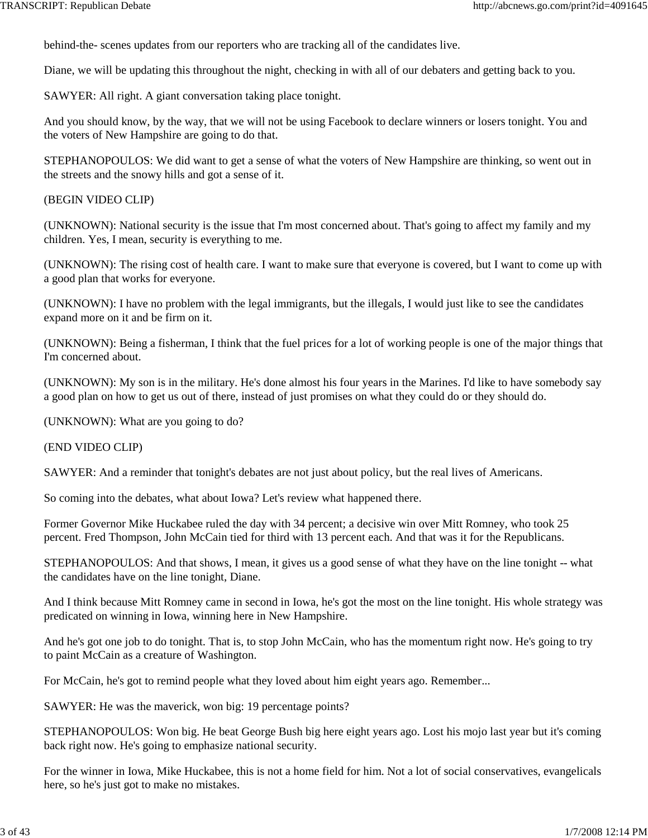behind-the- scenes updates from our reporters who are tracking all of the candidates live.

Diane, we will be updating this throughout the night, checking in with all of our debaters and getting back to you.

SAWYER: All right. A giant conversation taking place tonight.

And you should know, by the way, that we will not be using Facebook to declare winners or losers tonight. You and the voters of New Hampshire are going to do that.

STEPHANOPOULOS: We did want to get a sense of what the voters of New Hampshire are thinking, so went out in the streets and the snowy hills and got a sense of it.

# (BEGIN VIDEO CLIP)

(UNKNOWN): National security is the issue that I'm most concerned about. That's going to affect my family and my children. Yes, I mean, security is everything to me.

(UNKNOWN): The rising cost of health care. I want to make sure that everyone is covered, but I want to come up with a good plan that works for everyone.

(UNKNOWN): I have no problem with the legal immigrants, but the illegals, I would just like to see the candidates expand more on it and be firm on it.

(UNKNOWN): Being a fisherman, I think that the fuel prices for a lot of working people is one of the major things that I'm concerned about.

(UNKNOWN): My son is in the military. He's done almost his four years in the Marines. I'd like to have somebody say a good plan on how to get us out of there, instead of just promises on what they could do or they should do.

(UNKNOWN): What are you going to do?

## (END VIDEO CLIP)

SAWYER: And a reminder that tonight's debates are not just about policy, but the real lives of Americans.

So coming into the debates, what about Iowa? Let's review what happened there.

Former Governor Mike Huckabee ruled the day with 34 percent; a decisive win over Mitt Romney, who took 25 percent. Fred Thompson, John McCain tied for third with 13 percent each. And that was it for the Republicans.

STEPHANOPOULOS: And that shows, I mean, it gives us a good sense of what they have on the line tonight -- what the candidates have on the line tonight, Diane.

And I think because Mitt Romney came in second in Iowa, he's got the most on the line tonight. His whole strategy was predicated on winning in Iowa, winning here in New Hampshire.

And he's got one job to do tonight. That is, to stop John McCain, who has the momentum right now. He's going to try to paint McCain as a creature of Washington.

For McCain, he's got to remind people what they loved about him eight years ago. Remember...

SAWYER: He was the maverick, won big: 19 percentage points?

STEPHANOPOULOS: Won big. He beat George Bush big here eight years ago. Lost his mojo last year but it's coming back right now. He's going to emphasize national security.

For the winner in Iowa, Mike Huckabee, this is not a home field for him. Not a lot of social conservatives, evangelicals here, so he's just got to make no mistakes.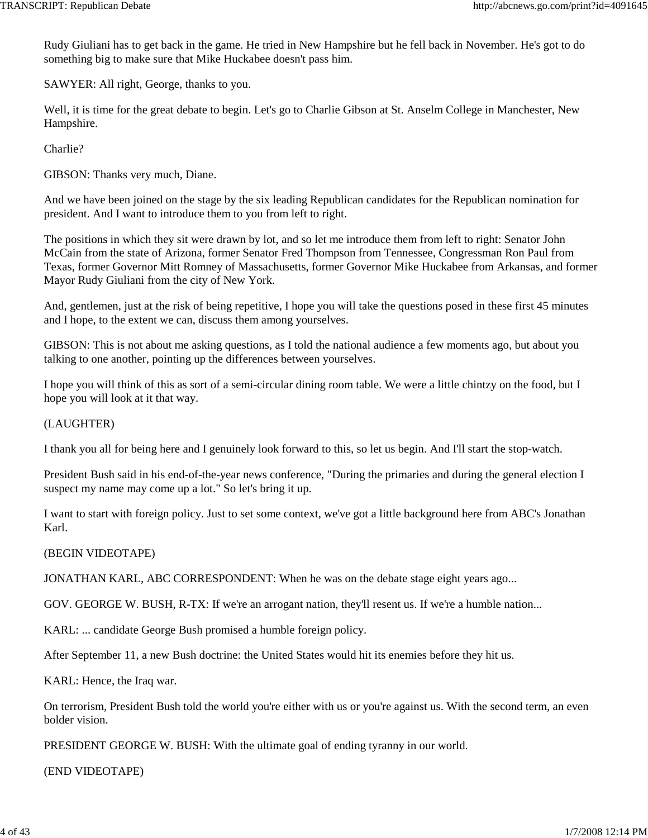Rudy Giuliani has to get back in the game. He tried in New Hampshire but he fell back in November. He's got to do something big to make sure that Mike Huckabee doesn't pass him.

SAWYER: All right, George, thanks to you.

Well, it is time for the great debate to begin. Let's go to Charlie Gibson at St. Anselm College in Manchester, New Hampshire.

Charlie?

GIBSON: Thanks very much, Diane.

And we have been joined on the stage by the six leading Republican candidates for the Republican nomination for president. And I want to introduce them to you from left to right.

The positions in which they sit were drawn by lot, and so let me introduce them from left to right: Senator John McCain from the state of Arizona, former Senator Fred Thompson from Tennessee, Congressman Ron Paul from Texas, former Governor Mitt Romney of Massachusetts, former Governor Mike Huckabee from Arkansas, and former Mayor Rudy Giuliani from the city of New York.

And, gentlemen, just at the risk of being repetitive, I hope you will take the questions posed in these first 45 minutes and I hope, to the extent we can, discuss them among yourselves.

GIBSON: This is not about me asking questions, as I told the national audience a few moments ago, but about you talking to one another, pointing up the differences between yourselves.

I hope you will think of this as sort of a semi-circular dining room table. We were a little chintzy on the food, but I hope you will look at it that way.

# (LAUGHTER)

I thank you all for being here and I genuinely look forward to this, so let us begin. And I'll start the stop-watch.

President Bush said in his end-of-the-year news conference, "During the primaries and during the general election I suspect my name may come up a lot." So let's bring it up.

I want to start with foreign policy. Just to set some context, we've got a little background here from ABC's Jonathan Karl.

## (BEGIN VIDEOTAPE)

JONATHAN KARL, ABC CORRESPONDENT: When he was on the debate stage eight years ago...

GOV. GEORGE W. BUSH, R-TX: If we're an arrogant nation, they'll resent us. If we're a humble nation...

KARL: ... candidate George Bush promised a humble foreign policy.

After September 11, a new Bush doctrine: the United States would hit its enemies before they hit us.

KARL: Hence, the Iraq war.

On terrorism, President Bush told the world you're either with us or you're against us. With the second term, an even bolder vision.

PRESIDENT GEORGE W. BUSH: With the ultimate goal of ending tyranny in our world.

(END VIDEOTAPE)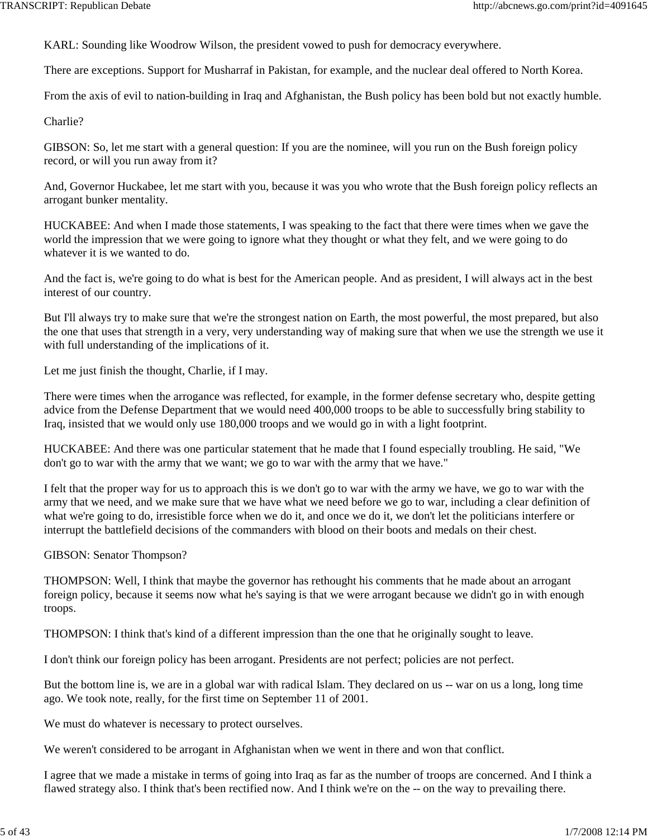KARL: Sounding like Woodrow Wilson, the president vowed to push for democracy everywhere.

There are exceptions. Support for Musharraf in Pakistan, for example, and the nuclear deal offered to North Korea.

From the axis of evil to nation-building in Iraq and Afghanistan, the Bush policy has been bold but not exactly humble.

Charlie?

GIBSON: So, let me start with a general question: If you are the nominee, will you run on the Bush foreign policy record, or will you run away from it?

And, Governor Huckabee, let me start with you, because it was you who wrote that the Bush foreign policy reflects an arrogant bunker mentality.

HUCKABEE: And when I made those statements, I was speaking to the fact that there were times when we gave the world the impression that we were going to ignore what they thought or what they felt, and we were going to do whatever it is we wanted to do.

And the fact is, we're going to do what is best for the American people. And as president, I will always act in the best interest of our country.

But I'll always try to make sure that we're the strongest nation on Earth, the most powerful, the most prepared, but also the one that uses that strength in a very, very understanding way of making sure that when we use the strength we use it with full understanding of the implications of it.

Let me just finish the thought, Charlie, if I may.

There were times when the arrogance was reflected, for example, in the former defense secretary who, despite getting advice from the Defense Department that we would need 400,000 troops to be able to successfully bring stability to Iraq, insisted that we would only use 180,000 troops and we would go in with a light footprint.

HUCKABEE: And there was one particular statement that he made that I found especially troubling. He said, "We don't go to war with the army that we want; we go to war with the army that we have."

I felt that the proper way for us to approach this is we don't go to war with the army we have, we go to war with the army that we need, and we make sure that we have what we need before we go to war, including a clear definition of what we're going to do, irresistible force when we do it, and once we do it, we don't let the politicians interfere or interrupt the battlefield decisions of the commanders with blood on their boots and medals on their chest.

GIBSON: Senator Thompson?

THOMPSON: Well, I think that maybe the governor has rethought his comments that he made about an arrogant foreign policy, because it seems now what he's saying is that we were arrogant because we didn't go in with enough troops.

THOMPSON: I think that's kind of a different impression than the one that he originally sought to leave.

I don't think our foreign policy has been arrogant. Presidents are not perfect; policies are not perfect.

But the bottom line is, we are in a global war with radical Islam. They declared on us -- war on us a long, long time ago. We took note, really, for the first time on September 11 of 2001.

We must do whatever is necessary to protect ourselves.

We weren't considered to be arrogant in Afghanistan when we went in there and won that conflict.

I agree that we made a mistake in terms of going into Iraq as far as the number of troops are concerned. And I think a flawed strategy also. I think that's been rectified now. And I think we're on the -- on the way to prevailing there.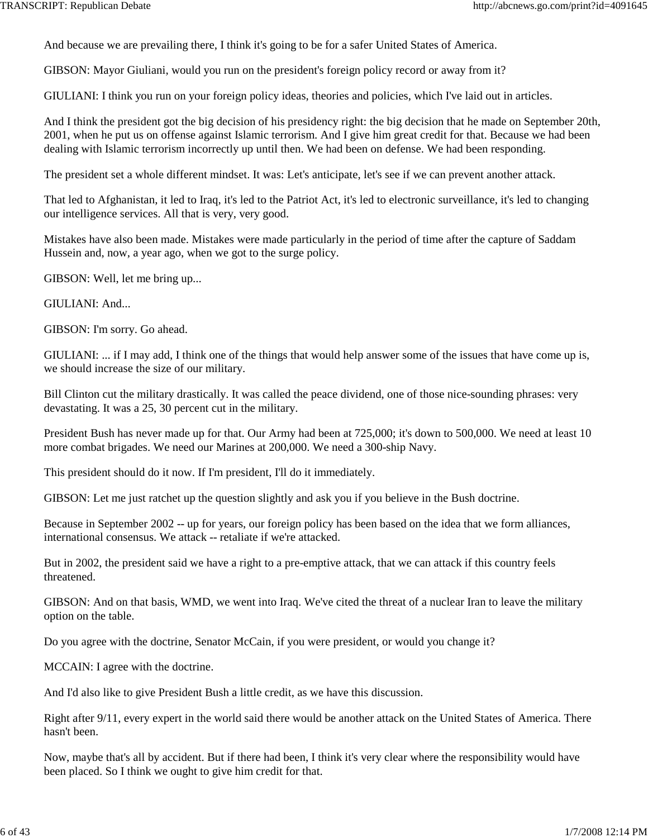And because we are prevailing there, I think it's going to be for a safer United States of America.

GIBSON: Mayor Giuliani, would you run on the president's foreign policy record or away from it?

GIULIANI: I think you run on your foreign policy ideas, theories and policies, which I've laid out in articles.

And I think the president got the big decision of his presidency right: the big decision that he made on September 20th, 2001, when he put us on offense against Islamic terrorism. And I give him great credit for that. Because we had been dealing with Islamic terrorism incorrectly up until then. We had been on defense. We had been responding.

The president set a whole different mindset. It was: Let's anticipate, let's see if we can prevent another attack.

That led to Afghanistan, it led to Iraq, it's led to the Patriot Act, it's led to electronic surveillance, it's led to changing our intelligence services. All that is very, very good.

Mistakes have also been made. Mistakes were made particularly in the period of time after the capture of Saddam Hussein and, now, a year ago, when we got to the surge policy.

GIBSON: Well, let me bring up...

GIULIANI: And...

GIBSON: I'm sorry. Go ahead.

GIULIANI: ... if I may add, I think one of the things that would help answer some of the issues that have come up is, we should increase the size of our military.

Bill Clinton cut the military drastically. It was called the peace dividend, one of those nice-sounding phrases: very devastating. It was a 25, 30 percent cut in the military.

President Bush has never made up for that. Our Army had been at 725,000; it's down to 500,000. We need at least 10 more combat brigades. We need our Marines at 200,000. We need a 300-ship Navy.

This president should do it now. If I'm president, I'll do it immediately.

GIBSON: Let me just ratchet up the question slightly and ask you if you believe in the Bush doctrine.

Because in September 2002 -- up for years, our foreign policy has been based on the idea that we form alliances, international consensus. We attack -- retaliate if we're attacked.

But in 2002, the president said we have a right to a pre-emptive attack, that we can attack if this country feels threatened.

GIBSON: And on that basis, WMD, we went into Iraq. We've cited the threat of a nuclear Iran to leave the military option on the table.

Do you agree with the doctrine, Senator McCain, if you were president, or would you change it?

MCCAIN: I agree with the doctrine.

And I'd also like to give President Bush a little credit, as we have this discussion.

Right after 9/11, every expert in the world said there would be another attack on the United States of America. There hasn't been.

Now, maybe that's all by accident. But if there had been, I think it's very clear where the responsibility would have been placed. So I think we ought to give him credit for that.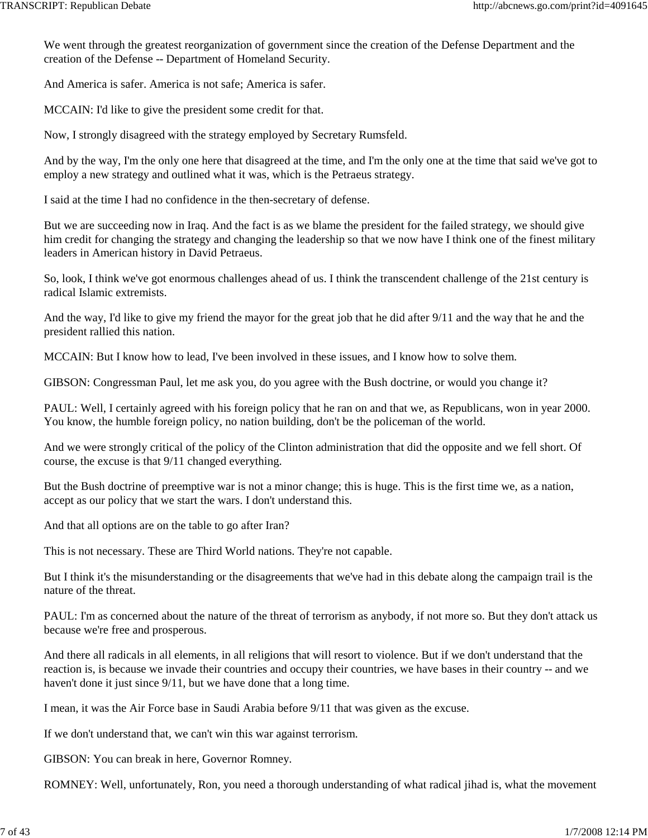We went through the greatest reorganization of government since the creation of the Defense Department and the creation of the Defense -- Department of Homeland Security.

And America is safer. America is not safe; America is safer.

MCCAIN: I'd like to give the president some credit for that.

Now, I strongly disagreed with the strategy employed by Secretary Rumsfeld.

And by the way, I'm the only one here that disagreed at the time, and I'm the only one at the time that said we've got to employ a new strategy and outlined what it was, which is the Petraeus strategy.

I said at the time I had no confidence in the then-secretary of defense.

But we are succeeding now in Iraq. And the fact is as we blame the president for the failed strategy, we should give him credit for changing the strategy and changing the leadership so that we now have I think one of the finest military leaders in American history in David Petraeus.

So, look, I think we've got enormous challenges ahead of us. I think the transcendent challenge of the 21st century is radical Islamic extremists.

And the way, I'd like to give my friend the mayor for the great job that he did after 9/11 and the way that he and the president rallied this nation.

MCCAIN: But I know how to lead, I've been involved in these issues, and I know how to solve them.

GIBSON: Congressman Paul, let me ask you, do you agree with the Bush doctrine, or would you change it?

PAUL: Well, I certainly agreed with his foreign policy that he ran on and that we, as Republicans, won in year 2000. You know, the humble foreign policy, no nation building, don't be the policeman of the world.

And we were strongly critical of the policy of the Clinton administration that did the opposite and we fell short. Of course, the excuse is that 9/11 changed everything.

But the Bush doctrine of preemptive war is not a minor change; this is huge. This is the first time we, as a nation, accept as our policy that we start the wars. I don't understand this.

And that all options are on the table to go after Iran?

This is not necessary. These are Third World nations. They're not capable.

But I think it's the misunderstanding or the disagreements that we've had in this debate along the campaign trail is the nature of the threat.

PAUL: I'm as concerned about the nature of the threat of terrorism as anybody, if not more so. But they don't attack us because we're free and prosperous.

And there all radicals in all elements, in all religions that will resort to violence. But if we don't understand that the reaction is, is because we invade their countries and occupy their countries, we have bases in their country -- and we haven't done it just since 9/11, but we have done that a long time.

I mean, it was the Air Force base in Saudi Arabia before 9/11 that was given as the excuse.

If we don't understand that, we can't win this war against terrorism.

GIBSON: You can break in here, Governor Romney.

ROMNEY: Well, unfortunately, Ron, you need a thorough understanding of what radical jihad is, what the movement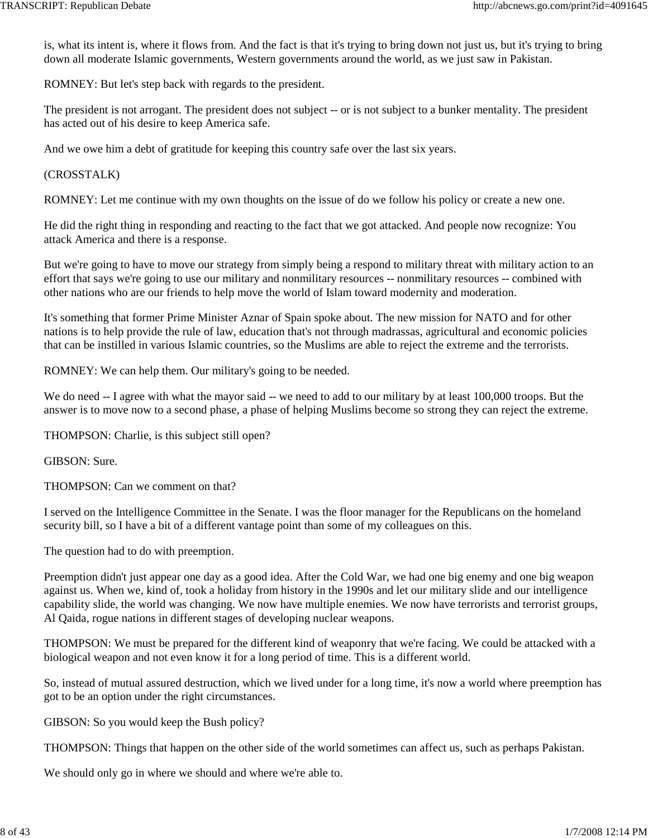is, what its intent is, where it flows from. And the fact is that it's trying to bring down not just us, but it's trying to bring down all moderate Islamic governments, Western governments around the world, as we just saw in Pakistan.

ROMNEY: But let's step back with regards to the president.

The president is not arrogant. The president does not subject -- or is not subject to a bunker mentality. The president has acted out of his desire to keep America safe.

And we owe him a debt of gratitude for keeping this country safe over the last six years.

# (CROSSTALK)

ROMNEY: Let me continue with my own thoughts on the issue of do we follow his policy or create a new one.

He did the right thing in responding and reacting to the fact that we got attacked. And people now recognize: You attack America and there is a response.

But we're going to have to move our strategy from simply being a respond to military threat with military action to an effort that says we're going to use our military and nonmilitary resources -- nonmilitary resources -- combined with other nations who are our friends to help move the world of Islam toward modernity and moderation.

It's something that former Prime Minister Aznar of Spain spoke about. The new mission for NATO and for other nations is to help provide the rule of law, education that's not through madrassas, agricultural and economic policies that can be instilled in various Islamic countries, so the Muslims are able to reject the extreme and the terrorists.

ROMNEY: We can help them. Our military's going to be needed.

We do need -- I agree with what the mayor said -- we need to add to our military by at least 100,000 troops. But the answer is to move now to a second phase, a phase of helping Muslims become so strong they can reject the extreme.

THOMPSON: Charlie, is this subject still open?

GIBSON: Sure.

THOMPSON: Can we comment on that?

I served on the Intelligence Committee in the Senate. I was the floor manager for the Republicans on the homeland security bill, so I have a bit of a different vantage point than some of my colleagues on this.

The question had to do with preemption.

Preemption didn't just appear one day as a good idea. After the Cold War, we had one big enemy and one big weapon against us. When we, kind of, took a holiday from history in the 1990s and let our military slide and our intelligence capability slide, the world was changing. We now have multiple enemies. We now have terrorists and terrorist groups, Al Qaida, rogue nations in different stages of developing nuclear weapons.

THOMPSON: We must be prepared for the different kind of weaponry that we're facing. We could be attacked with a biological weapon and not even know it for a long period of time. This is a different world.

So, instead of mutual assured destruction, which we lived under for a long time, it's now a world where preemption has got to be an option under the right circumstances.

GIBSON: So you would keep the Bush policy?

THOMPSON: Things that happen on the other side of the world sometimes can affect us, such as perhaps Pakistan.

We should only go in where we should and where we're able to.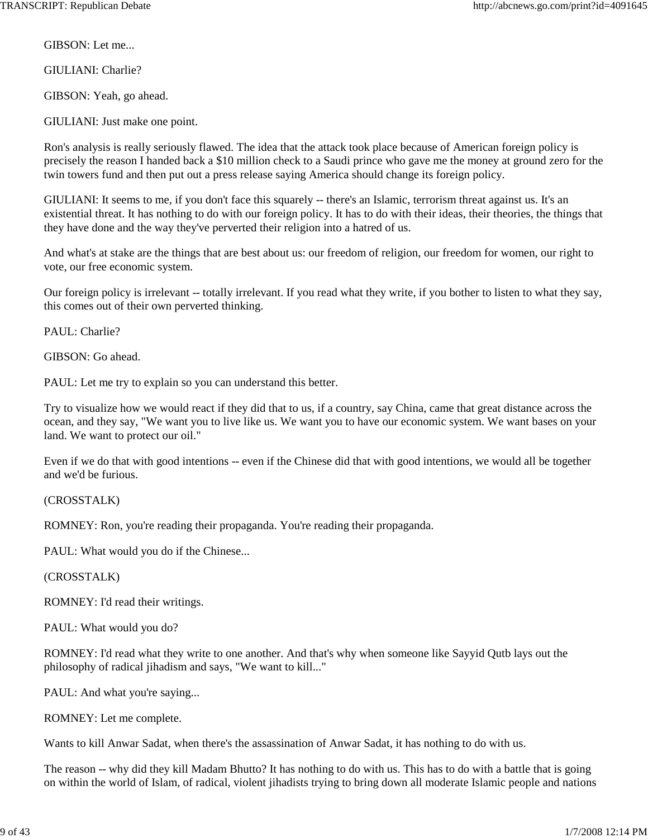GIBSON: Let me...

GIULIANI: Charlie?

GIBSON: Yeah, go ahead.

GIULIANI: Just make one point.

Ron's analysis is really seriously flawed. The idea that the attack took place because of American foreign policy is precisely the reason I handed back a \$10 million check to a Saudi prince who gave me the money at ground zero for the twin towers fund and then put out a press release saying America should change its foreign policy.

GIULIANI: It seems to me, if you don't face this squarely -- there's an Islamic, terrorism threat against us. It's an existential threat. It has nothing to do with our foreign policy. It has to do with their ideas, their theories, the things that they have done and the way they've perverted their religion into a hatred of us.

And what's at stake are the things that are best about us: our freedom of religion, our freedom for women, our right to vote, our free economic system.

Our foreign policy is irrelevant -- totally irrelevant. If you read what they write, if you bother to listen to what they say, this comes out of their own perverted thinking.

PAUL: Charlie?

GIBSON: Go ahead.

PAUL: Let me try to explain so you can understand this better.

Try to visualize how we would react if they did that to us, if a country, say China, came that great distance across the ocean, and they say, "We want you to live like us. We want you to have our economic system. We want bases on your land. We want to protect our oil."

Even if we do that with good intentions -- even if the Chinese did that with good intentions, we would all be together and we'd be furious.

(CROSSTALK)

ROMNEY: Ron, you're reading their propaganda. You're reading their propaganda.

PAUL: What would you do if the Chinese...

(CROSSTALK)

ROMNEY: I'd read their writings.

PAUL: What would you do?

ROMNEY: I'd read what they write to one another. And that's why when someone like Sayyid Qutb lays out the philosophy of radical jihadism and says, "We want to kill..."

PAUL: And what you're saying...

ROMNEY: Let me complete.

Wants to kill Anwar Sadat, when there's the assassination of Anwar Sadat, it has nothing to do with us.

The reason -- why did they kill Madam Bhutto? It has nothing to do with us. This has to do with a battle that is going on within the world of Islam, of radical, violent jihadists trying to bring down all moderate Islamic people and nations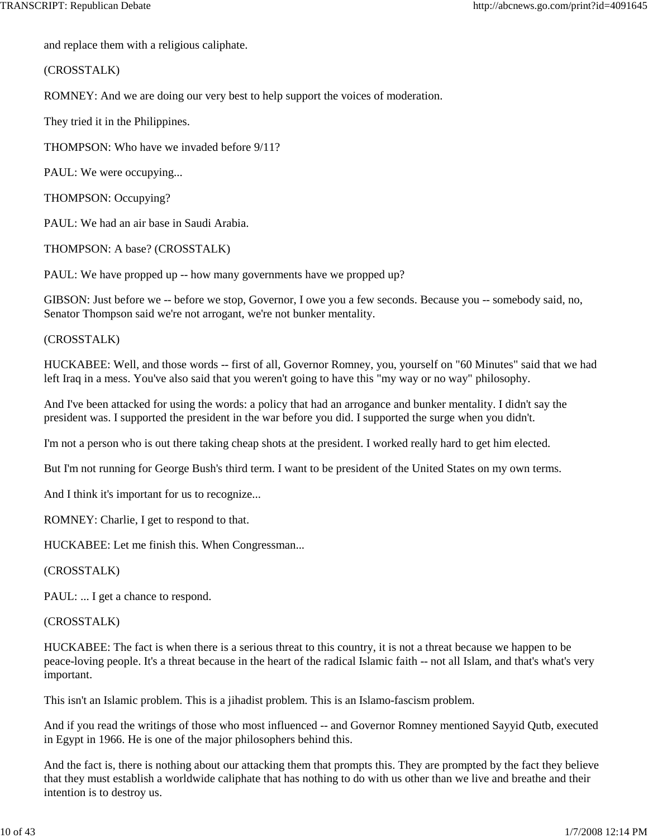and replace them with a religious caliphate.

(CROSSTALK)

ROMNEY: And we are doing our very best to help support the voices of moderation.

They tried it in the Philippines.

THOMPSON: Who have we invaded before 9/11?

PAUL: We were occupying...

THOMPSON: Occupying?

PAUL: We had an air base in Saudi Arabia.

THOMPSON: A base? (CROSSTALK)

PAUL: We have propped up -- how many governments have we propped up?

GIBSON: Just before we -- before we stop, Governor, I owe you a few seconds. Because you -- somebody said, no, Senator Thompson said we're not arrogant, we're not bunker mentality.

## (CROSSTALK)

HUCKABEE: Well, and those words -- first of all, Governor Romney, you, yourself on "60 Minutes" said that we had left Iraq in a mess. You've also said that you weren't going to have this "my way or no way" philosophy.

And I've been attacked for using the words: a policy that had an arrogance and bunker mentality. I didn't say the president was. I supported the president in the war before you did. I supported the surge when you didn't.

I'm not a person who is out there taking cheap shots at the president. I worked really hard to get him elected.

But I'm not running for George Bush's third term. I want to be president of the United States on my own terms.

And I think it's important for us to recognize...

ROMNEY: Charlie, I get to respond to that.

HUCKABEE: Let me finish this. When Congressman...

## (CROSSTALK)

PAUL: ... I get a chance to respond.

## (CROSSTALK)

HUCKABEE: The fact is when there is a serious threat to this country, it is not a threat because we happen to be peace-loving people. It's a threat because in the heart of the radical Islamic faith -- not all Islam, and that's what's very important.

This isn't an Islamic problem. This is a jihadist problem. This is an Islamo-fascism problem.

And if you read the writings of those who most influenced -- and Governor Romney mentioned Sayyid Qutb, executed in Egypt in 1966. He is one of the major philosophers behind this.

And the fact is, there is nothing about our attacking them that prompts this. They are prompted by the fact they believe that they must establish a worldwide caliphate that has nothing to do with us other than we live and breathe and their intention is to destroy us.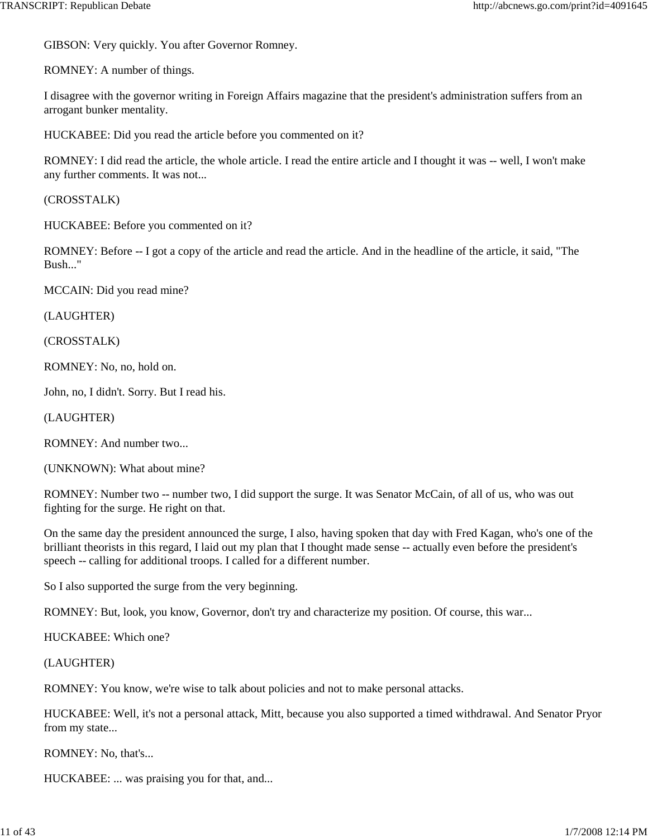GIBSON: Very quickly. You after Governor Romney.

ROMNEY: A number of things.

I disagree with the governor writing in Foreign Affairs magazine that the president's administration suffers from an arrogant bunker mentality.

HUCKABEE: Did you read the article before you commented on it?

ROMNEY: I did read the article, the whole article. I read the entire article and I thought it was -- well, I won't make any further comments. It was not...

(CROSSTALK)

HUCKABEE: Before you commented on it?

ROMNEY: Before -- I got a copy of the article and read the article. And in the headline of the article, it said, "The Bush..."

MCCAIN: Did you read mine?

(LAUGHTER)

(CROSSTALK)

ROMNEY: No, no, hold on.

John, no, I didn't. Sorry. But I read his.

(LAUGHTER)

ROMNEY: And number two...

(UNKNOWN): What about mine?

ROMNEY: Number two -- number two, I did support the surge. It was Senator McCain, of all of us, who was out fighting for the surge. He right on that.

On the same day the president announced the surge, I also, having spoken that day with Fred Kagan, who's one of the brilliant theorists in this regard, I laid out my plan that I thought made sense -- actually even before the president's speech -- calling for additional troops. I called for a different number.

So I also supported the surge from the very beginning.

ROMNEY: But, look, you know, Governor, don't try and characterize my position. Of course, this war...

HUCKABEE: Which one?

(LAUGHTER)

ROMNEY: You know, we're wise to talk about policies and not to make personal attacks.

HUCKABEE: Well, it's not a personal attack, Mitt, because you also supported a timed withdrawal. And Senator Pryor from my state...

ROMNEY: No, that's...

HUCKABEE: ... was praising you for that, and...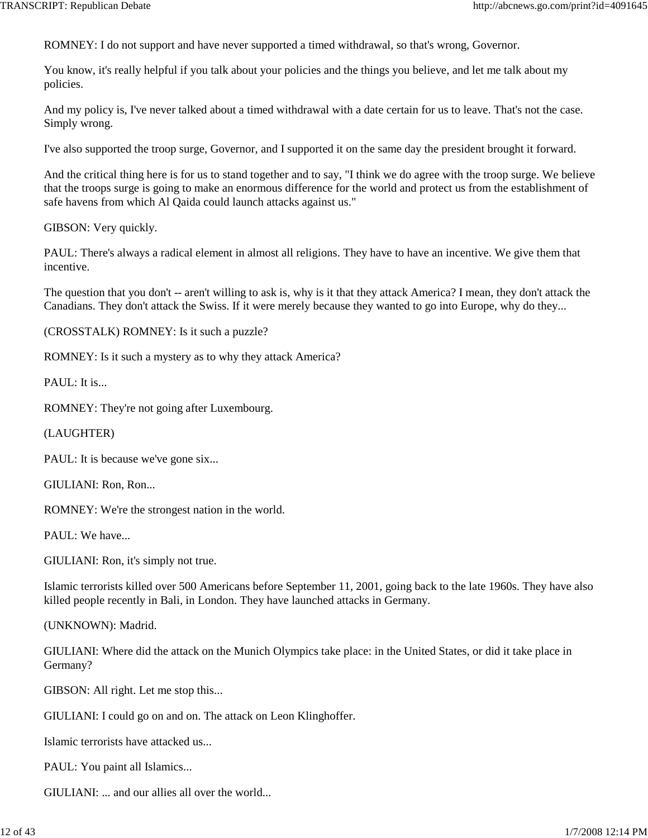ROMNEY: I do not support and have never supported a timed withdrawal, so that's wrong, Governor.

You know, it's really helpful if you talk about your policies and the things you believe, and let me talk about my policies.

And my policy is, I've never talked about a timed withdrawal with a date certain for us to leave. That's not the case. Simply wrong.

I've also supported the troop surge, Governor, and I supported it on the same day the president brought it forward.

And the critical thing here is for us to stand together and to say, "I think we do agree with the troop surge. We believe that the troops surge is going to make an enormous difference for the world and protect us from the establishment of safe havens from which Al Qaida could launch attacks against us."

GIBSON: Very quickly.

PAUL: There's always a radical element in almost all religions. They have to have an incentive. We give them that incentive.

The question that you don't -- aren't willing to ask is, why is it that they attack America? I mean, they don't attack the Canadians. They don't attack the Swiss. If it were merely because they wanted to go into Europe, why do they...

(CROSSTALK) ROMNEY: Is it such a puzzle?

ROMNEY: Is it such a mystery as to why they attack America?

PAUL: It is...

ROMNEY: They're not going after Luxembourg.

(LAUGHTER)

PAUL: It is because we've gone six...

GIULIANI: Ron, Ron...

ROMNEY: We're the strongest nation in the world.

PAUL: We have...

GIULIANI: Ron, it's simply not true.

Islamic terrorists killed over 500 Americans before September 11, 2001, going back to the late 1960s. They have also killed people recently in Bali, in London. They have launched attacks in Germany.

(UNKNOWN): Madrid.

GIULIANI: Where did the attack on the Munich Olympics take place: in the United States, or did it take place in Germany?

GIBSON: All right. Let me stop this...

GIULIANI: I could go on and on. The attack on Leon Klinghoffer.

Islamic terrorists have attacked us...

PAUL: You paint all Islamics...

GIULIANI: ... and our allies all over the world...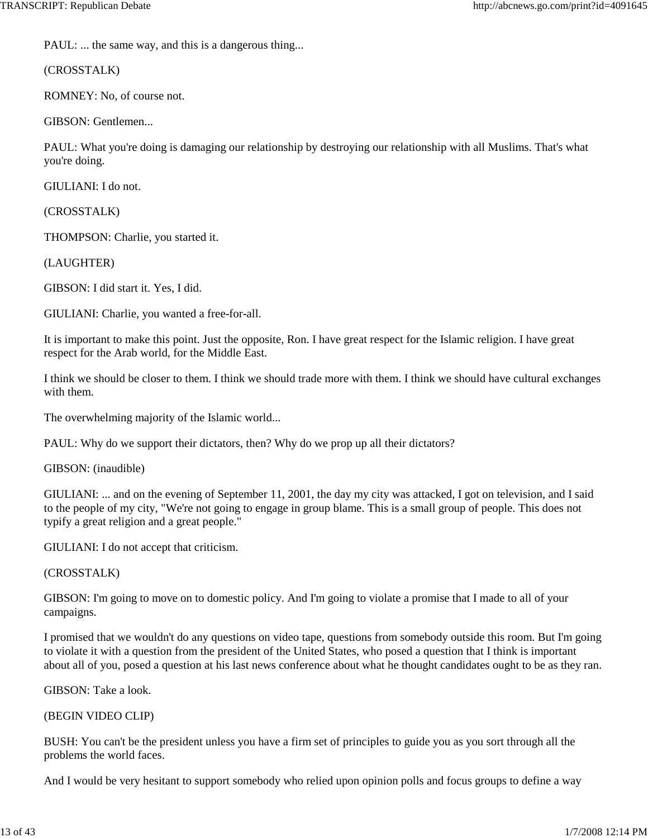PAUL: ... the same way, and this is a dangerous thing...

(CROSSTALK)

ROMNEY: No, of course not.

GIBSON: Gentlemen...

PAUL: What you're doing is damaging our relationship by destroying our relationship with all Muslims. That's what you're doing.

GIULIANI: I do not.

(CROSSTALK)

THOMPSON: Charlie, you started it.

(LAUGHTER)

GIBSON: I did start it. Yes, I did.

GIULIANI: Charlie, you wanted a free-for-all.

It is important to make this point. Just the opposite, Ron. I have great respect for the Islamic religion. I have great respect for the Arab world, for the Middle East.

I think we should be closer to them. I think we should trade more with them. I think we should have cultural exchanges with them.

The overwhelming majority of the Islamic world...

PAUL: Why do we support their dictators, then? Why do we prop up all their dictators?

GIBSON: (inaudible)

GIULIANI: ... and on the evening of September 11, 2001, the day my city was attacked, I got on television, and I said to the people of my city, "We're not going to engage in group blame. This is a small group of people. This does not typify a great religion and a great people."

GIULIANI: I do not accept that criticism.

(CROSSTALK)

GIBSON: I'm going to move on to domestic policy. And I'm going to violate a promise that I made to all of your campaigns.

I promised that we wouldn't do any questions on video tape, questions from somebody outside this room. But I'm going to violate it with a question from the president of the United States, who posed a question that I think is important about all of you, posed a question at his last news conference about what he thought candidates ought to be as they ran.

GIBSON: Take a look.

# (BEGIN VIDEO CLIP)

BUSH: You can't be the president unless you have a firm set of principles to guide you as you sort through all the problems the world faces.

And I would be very hesitant to support somebody who relied upon opinion polls and focus groups to define a way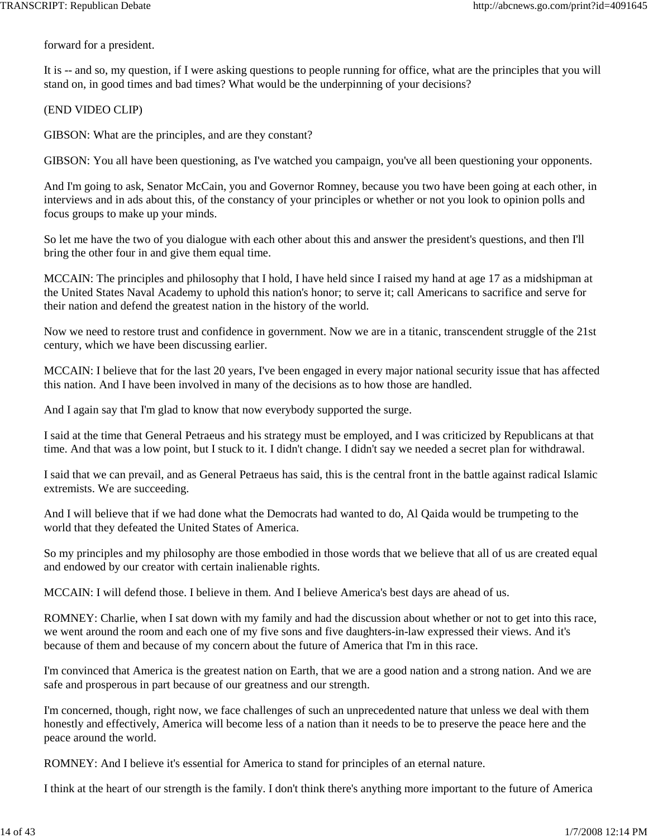forward for a president.

It is -- and so, my question, if I were asking questions to people running for office, what are the principles that you will stand on, in good times and bad times? What would be the underpinning of your decisions?

(END VIDEO CLIP)

GIBSON: What are the principles, and are they constant?

GIBSON: You all have been questioning, as I've watched you campaign, you've all been questioning your opponents.

And I'm going to ask, Senator McCain, you and Governor Romney, because you two have been going at each other, in interviews and in ads about this, of the constancy of your principles or whether or not you look to opinion polls and focus groups to make up your minds.

So let me have the two of you dialogue with each other about this and answer the president's questions, and then I'll bring the other four in and give them equal time.

MCCAIN: The principles and philosophy that I hold, I have held since I raised my hand at age 17 as a midshipman at the United States Naval Academy to uphold this nation's honor; to serve it; call Americans to sacrifice and serve for their nation and defend the greatest nation in the history of the world.

Now we need to restore trust and confidence in government. Now we are in a titanic, transcendent struggle of the 21st century, which we have been discussing earlier.

MCCAIN: I believe that for the last 20 years, I've been engaged in every major national security issue that has affected this nation. And I have been involved in many of the decisions as to how those are handled.

And I again say that I'm glad to know that now everybody supported the surge.

I said at the time that General Petraeus and his strategy must be employed, and I was criticized by Republicans at that time. And that was a low point, but I stuck to it. I didn't change. I didn't say we needed a secret plan for withdrawal.

I said that we can prevail, and as General Petraeus has said, this is the central front in the battle against radical Islamic extremists. We are succeeding.

And I will believe that if we had done what the Democrats had wanted to do, Al Qaida would be trumpeting to the world that they defeated the United States of America.

So my principles and my philosophy are those embodied in those words that we believe that all of us are created equal and endowed by our creator with certain inalienable rights.

MCCAIN: I will defend those. I believe in them. And I believe America's best days are ahead of us.

ROMNEY: Charlie, when I sat down with my family and had the discussion about whether or not to get into this race, we went around the room and each one of my five sons and five daughters-in-law expressed their views. And it's because of them and because of my concern about the future of America that I'm in this race.

I'm convinced that America is the greatest nation on Earth, that we are a good nation and a strong nation. And we are safe and prosperous in part because of our greatness and our strength.

I'm concerned, though, right now, we face challenges of such an unprecedented nature that unless we deal with them honestly and effectively, America will become less of a nation than it needs to be to preserve the peace here and the peace around the world.

ROMNEY: And I believe it's essential for America to stand for principles of an eternal nature.

I think at the heart of our strength is the family. I don't think there's anything more important to the future of America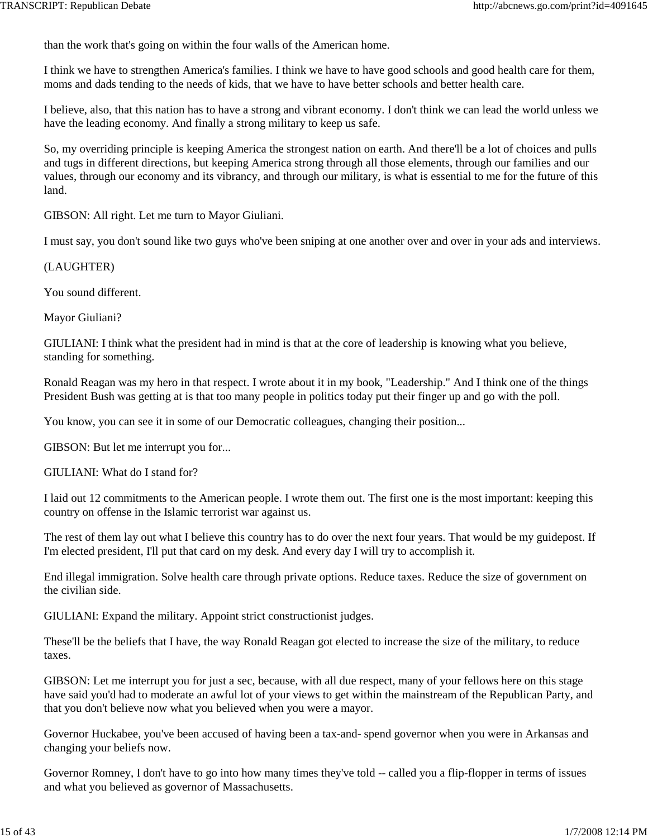than the work that's going on within the four walls of the American home.

I think we have to strengthen America's families. I think we have to have good schools and good health care for them, moms and dads tending to the needs of kids, that we have to have better schools and better health care.

I believe, also, that this nation has to have a strong and vibrant economy. I don't think we can lead the world unless we have the leading economy. And finally a strong military to keep us safe.

So, my overriding principle is keeping America the strongest nation on earth. And there'll be a lot of choices and pulls and tugs in different directions, but keeping America strong through all those elements, through our families and our values, through our economy and its vibrancy, and through our military, is what is essential to me for the future of this land.

GIBSON: All right. Let me turn to Mayor Giuliani.

I must say, you don't sound like two guys who've been sniping at one another over and over in your ads and interviews.

(LAUGHTER)

You sound different.

Mayor Giuliani?

GIULIANI: I think what the president had in mind is that at the core of leadership is knowing what you believe, standing for something.

Ronald Reagan was my hero in that respect. I wrote about it in my book, "Leadership." And I think one of the things President Bush was getting at is that too many people in politics today put their finger up and go with the poll.

You know, you can see it in some of our Democratic colleagues, changing their position...

GIBSON: But let me interrupt you for...

GIULIANI: What do I stand for?

I laid out 12 commitments to the American people. I wrote them out. The first one is the most important: keeping this country on offense in the Islamic terrorist war against us.

The rest of them lay out what I believe this country has to do over the next four years. That would be my guidepost. If I'm elected president, I'll put that card on my desk. And every day I will try to accomplish it.

End illegal immigration. Solve health care through private options. Reduce taxes. Reduce the size of government on the civilian side.

GIULIANI: Expand the military. Appoint strict constructionist judges.

These'll be the beliefs that I have, the way Ronald Reagan got elected to increase the size of the military, to reduce taxes.

GIBSON: Let me interrupt you for just a sec, because, with all due respect, many of your fellows here on this stage have said you'd had to moderate an awful lot of your views to get within the mainstream of the Republican Party, and that you don't believe now what you believed when you were a mayor.

Governor Huckabee, you've been accused of having been a tax-and- spend governor when you were in Arkansas and changing your beliefs now.

Governor Romney, I don't have to go into how many times they've told -- called you a flip-flopper in terms of issues and what you believed as governor of Massachusetts.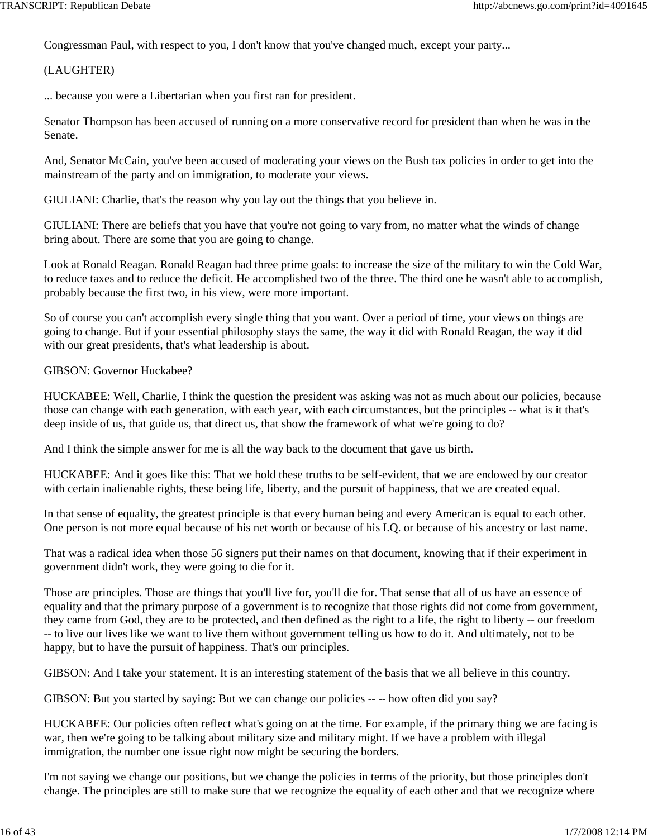Congressman Paul, with respect to you, I don't know that you've changed much, except your party...

# (LAUGHTER)

... because you were a Libertarian when you first ran for president.

Senator Thompson has been accused of running on a more conservative record for president than when he was in the Senate.

And, Senator McCain, you've been accused of moderating your views on the Bush tax policies in order to get into the mainstream of the party and on immigration, to moderate your views.

GIULIANI: Charlie, that's the reason why you lay out the things that you believe in.

GIULIANI: There are beliefs that you have that you're not going to vary from, no matter what the winds of change bring about. There are some that you are going to change.

Look at Ronald Reagan. Ronald Reagan had three prime goals: to increase the size of the military to win the Cold War, to reduce taxes and to reduce the deficit. He accomplished two of the three. The third one he wasn't able to accomplish, probably because the first two, in his view, were more important.

So of course you can't accomplish every single thing that you want. Over a period of time, your views on things are going to change. But if your essential philosophy stays the same, the way it did with Ronald Reagan, the way it did with our great presidents, that's what leadership is about.

# GIBSON: Governor Huckabee?

HUCKABEE: Well, Charlie, I think the question the president was asking was not as much about our policies, because those can change with each generation, with each year, with each circumstances, but the principles -- what is it that's deep inside of us, that guide us, that direct us, that show the framework of what we're going to do?

And I think the simple answer for me is all the way back to the document that gave us birth.

HUCKABEE: And it goes like this: That we hold these truths to be self-evident, that we are endowed by our creator with certain inalienable rights, these being life, liberty, and the pursuit of happiness, that we are created equal.

In that sense of equality, the greatest principle is that every human being and every American is equal to each other. One person is not more equal because of his net worth or because of his I.Q. or because of his ancestry or last name.

That was a radical idea when those 56 signers put their names on that document, knowing that if their experiment in government didn't work, they were going to die for it.

Those are principles. Those are things that you'll live for, you'll die for. That sense that all of us have an essence of equality and that the primary purpose of a government is to recognize that those rights did not come from government, they came from God, they are to be protected, and then defined as the right to a life, the right to liberty -- our freedom -- to live our lives like we want to live them without government telling us how to do it. And ultimately, not to be happy, but to have the pursuit of happiness. That's our principles.

GIBSON: And I take your statement. It is an interesting statement of the basis that we all believe in this country.

GIBSON: But you started by saying: But we can change our policies --- how often did you say?

HUCKABEE: Our policies often reflect what's going on at the time. For example, if the primary thing we are facing is war, then we're going to be talking about military size and military might. If we have a problem with illegal immigration, the number one issue right now might be securing the borders.

I'm not saying we change our positions, but we change the policies in terms of the priority, but those principles don't change. The principles are still to make sure that we recognize the equality of each other and that we recognize where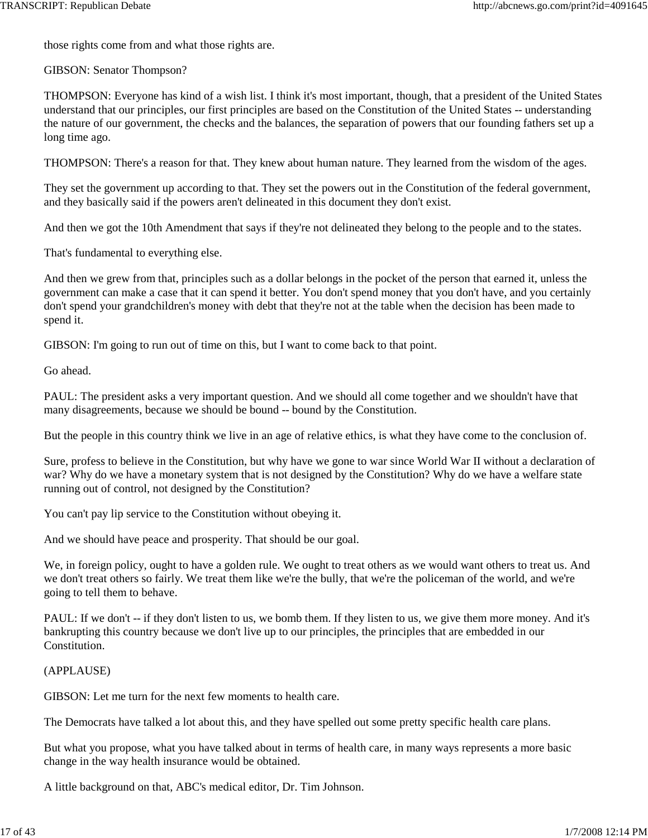those rights come from and what those rights are.

GIBSON: Senator Thompson?

THOMPSON: Everyone has kind of a wish list. I think it's most important, though, that a president of the United States understand that our principles, our first principles are based on the Constitution of the United States -- understanding the nature of our government, the checks and the balances, the separation of powers that our founding fathers set up a long time ago.

THOMPSON: There's a reason for that. They knew about human nature. They learned from the wisdom of the ages.

They set the government up according to that. They set the powers out in the Constitution of the federal government, and they basically said if the powers aren't delineated in this document they don't exist.

And then we got the 10th Amendment that says if they're not delineated they belong to the people and to the states.

That's fundamental to everything else.

And then we grew from that, principles such as a dollar belongs in the pocket of the person that earned it, unless the government can make a case that it can spend it better. You don't spend money that you don't have, and you certainly don't spend your grandchildren's money with debt that they're not at the table when the decision has been made to spend it.

GIBSON: I'm going to run out of time on this, but I want to come back to that point.

Go ahead.

PAUL: The president asks a very important question. And we should all come together and we shouldn't have that many disagreements, because we should be bound -- bound by the Constitution.

But the people in this country think we live in an age of relative ethics, is what they have come to the conclusion of.

Sure, profess to believe in the Constitution, but why have we gone to war since World War II without a declaration of war? Why do we have a monetary system that is not designed by the Constitution? Why do we have a welfare state running out of control, not designed by the Constitution?

You can't pay lip service to the Constitution without obeying it.

And we should have peace and prosperity. That should be our goal.

We, in foreign policy, ought to have a golden rule. We ought to treat others as we would want others to treat us. And we don't treat others so fairly. We treat them like we're the bully, that we're the policeman of the world, and we're going to tell them to behave.

PAUL: If we don't -- if they don't listen to us, we bomb them. If they listen to us, we give them more money. And it's bankrupting this country because we don't live up to our principles, the principles that are embedded in our Constitution.

## (APPLAUSE)

GIBSON: Let me turn for the next few moments to health care.

The Democrats have talked a lot about this, and they have spelled out some pretty specific health care plans.

But what you propose, what you have talked about in terms of health care, in many ways represents a more basic change in the way health insurance would be obtained.

A little background on that, ABC's medical editor, Dr. Tim Johnson.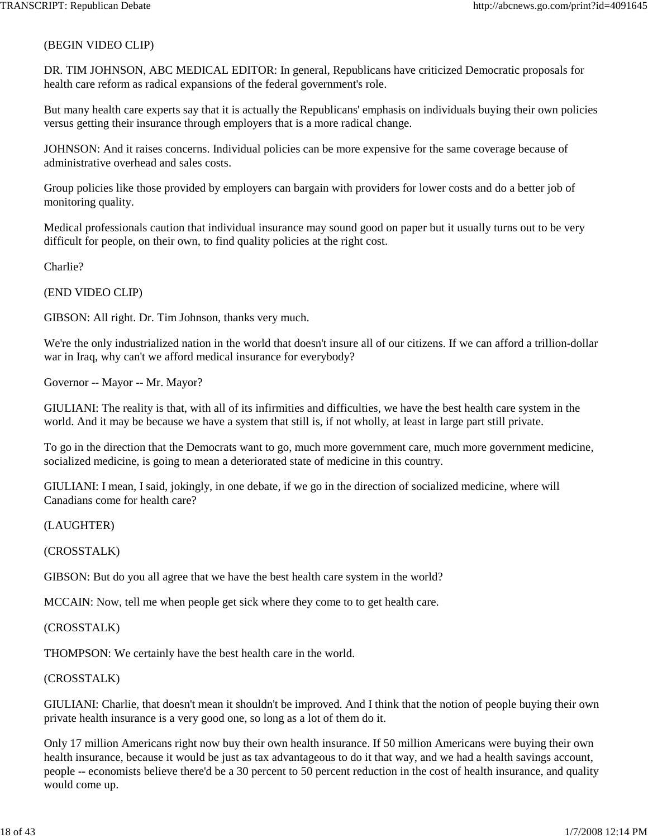# (BEGIN VIDEO CLIP)

DR. TIM JOHNSON, ABC MEDICAL EDITOR: In general, Republicans have criticized Democratic proposals for health care reform as radical expansions of the federal government's role.

But many health care experts say that it is actually the Republicans' emphasis on individuals buying their own policies versus getting their insurance through employers that is a more radical change.

JOHNSON: And it raises concerns. Individual policies can be more expensive for the same coverage because of administrative overhead and sales costs.

Group policies like those provided by employers can bargain with providers for lower costs and do a better job of monitoring quality.

Medical professionals caution that individual insurance may sound good on paper but it usually turns out to be very difficult for people, on their own, to find quality policies at the right cost.

Charlie?

(END VIDEO CLIP)

GIBSON: All right. Dr. Tim Johnson, thanks very much.

We're the only industrialized nation in the world that doesn't insure all of our citizens. If we can afford a trillion-dollar war in Iraq, why can't we afford medical insurance for everybody?

Governor -- Mayor -- Mr. Mayor?

GIULIANI: The reality is that, with all of its infirmities and difficulties, we have the best health care system in the world. And it may be because we have a system that still is, if not wholly, at least in large part still private.

To go in the direction that the Democrats want to go, much more government care, much more government medicine, socialized medicine, is going to mean a deteriorated state of medicine in this country.

GIULIANI: I mean, I said, jokingly, in one debate, if we go in the direction of socialized medicine, where will Canadians come for health care?

(LAUGHTER)

(CROSSTALK)

GIBSON: But do you all agree that we have the best health care system in the world?

MCCAIN: Now, tell me when people get sick where they come to to get health care.

(CROSSTALK)

THOMPSON: We certainly have the best health care in the world.

## (CROSSTALK)

GIULIANI: Charlie, that doesn't mean it shouldn't be improved. And I think that the notion of people buying their own private health insurance is a very good one, so long as a lot of them do it.

Only 17 million Americans right now buy their own health insurance. If 50 million Americans were buying their own health insurance, because it would be just as tax advantageous to do it that way, and we had a health savings account, people -- economists believe there'd be a 30 percent to 50 percent reduction in the cost of health insurance, and quality would come up.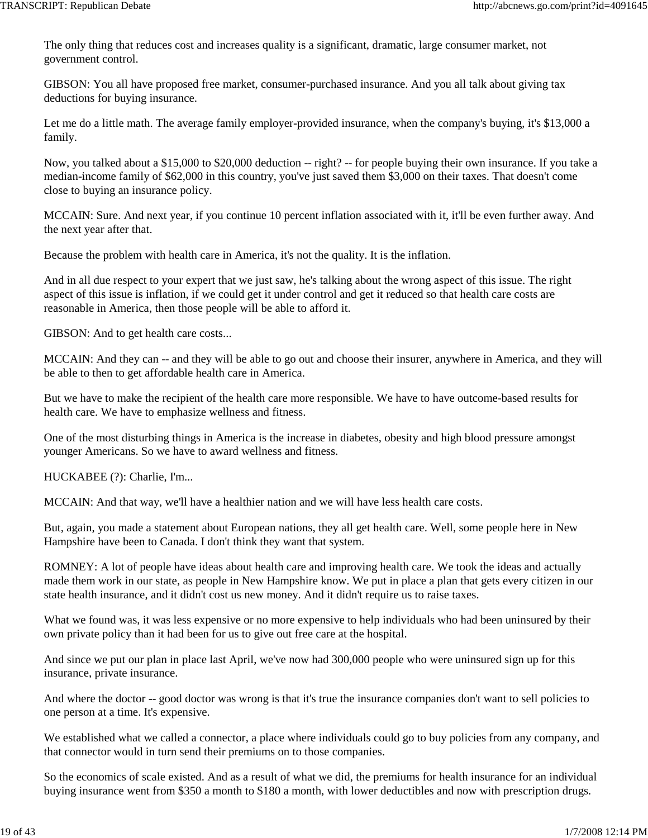The only thing that reduces cost and increases quality is a significant, dramatic, large consumer market, not government control.

GIBSON: You all have proposed free market, consumer-purchased insurance. And you all talk about giving tax deductions for buying insurance.

Let me do a little math. The average family employer-provided insurance, when the company's buying, it's \$13,000 a family.

Now, you talked about a \$15,000 to \$20,000 deduction -- right? -- for people buying their own insurance. If you take a median-income family of \$62,000 in this country, you've just saved them \$3,000 on their taxes. That doesn't come close to buying an insurance policy.

MCCAIN: Sure. And next year, if you continue 10 percent inflation associated with it, it'll be even further away. And the next year after that.

Because the problem with health care in America, it's not the quality. It is the inflation.

And in all due respect to your expert that we just saw, he's talking about the wrong aspect of this issue. The right aspect of this issue is inflation, if we could get it under control and get it reduced so that health care costs are reasonable in America, then those people will be able to afford it.

GIBSON: And to get health care costs...

MCCAIN: And they can -- and they will be able to go out and choose their insurer, anywhere in America, and they will be able to then to get affordable health care in America.

But we have to make the recipient of the health care more responsible. We have to have outcome-based results for health care. We have to emphasize wellness and fitness.

One of the most disturbing things in America is the increase in diabetes, obesity and high blood pressure amongst younger Americans. So we have to award wellness and fitness.

HUCKABEE (?): Charlie, I'm...

MCCAIN: And that way, we'll have a healthier nation and we will have less health care costs.

But, again, you made a statement about European nations, they all get health care. Well, some people here in New Hampshire have been to Canada. I don't think they want that system.

ROMNEY: A lot of people have ideas about health care and improving health care. We took the ideas and actually made them work in our state, as people in New Hampshire know. We put in place a plan that gets every citizen in our state health insurance, and it didn't cost us new money. And it didn't require us to raise taxes.

What we found was, it was less expensive or no more expensive to help individuals who had been uninsured by their own private policy than it had been for us to give out free care at the hospital.

And since we put our plan in place last April, we've now had 300,000 people who were uninsured sign up for this insurance, private insurance.

And where the doctor -- good doctor was wrong is that it's true the insurance companies don't want to sell policies to one person at a time. It's expensive.

We established what we called a connector, a place where individuals could go to buy policies from any company, and that connector would in turn send their premiums on to those companies.

So the economics of scale existed. And as a result of what we did, the premiums for health insurance for an individual buying insurance went from \$350 a month to \$180 a month, with lower deductibles and now with prescription drugs.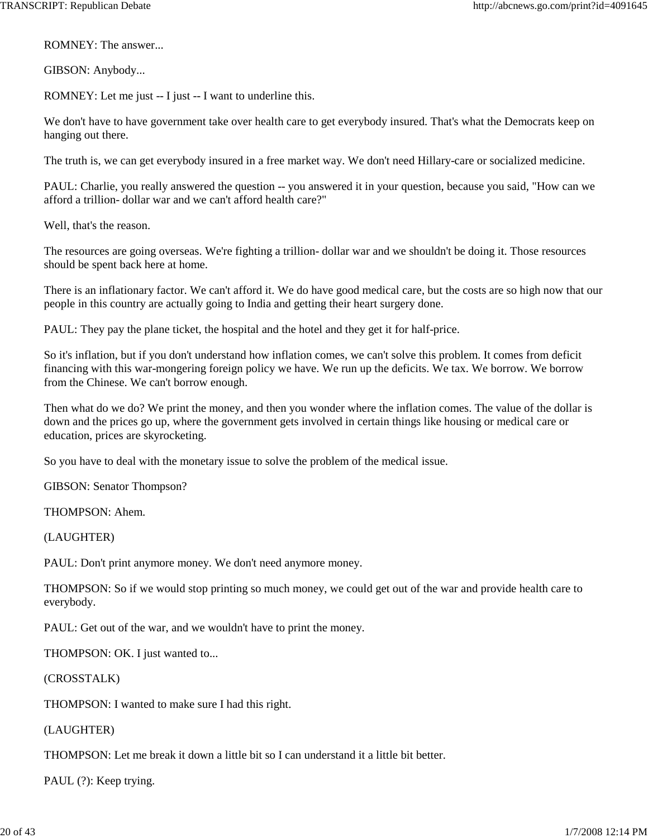ROMNEY: The answer...

GIBSON: Anybody...

ROMNEY: Let me just -- I just -- I want to underline this.

We don't have to have government take over health care to get everybody insured. That's what the Democrats keep on hanging out there.

The truth is, we can get everybody insured in a free market way. We don't need Hillary-care or socialized medicine.

PAUL: Charlie, you really answered the question -- you answered it in your question, because you said, "How can we afford a trillion- dollar war and we can't afford health care?"

Well, that's the reason.

The resources are going overseas. We're fighting a trillion- dollar war and we shouldn't be doing it. Those resources should be spent back here at home.

There is an inflationary factor. We can't afford it. We do have good medical care, but the costs are so high now that our people in this country are actually going to India and getting their heart surgery done.

PAUL: They pay the plane ticket, the hospital and the hotel and they get it for half-price.

So it's inflation, but if you don't understand how inflation comes, we can't solve this problem. It comes from deficit financing with this war-mongering foreign policy we have. We run up the deficits. We tax. We borrow. We borrow from the Chinese. We can't borrow enough.

Then what do we do? We print the money, and then you wonder where the inflation comes. The value of the dollar is down and the prices go up, where the government gets involved in certain things like housing or medical care or education, prices are skyrocketing.

So you have to deal with the monetary issue to solve the problem of the medical issue.

GIBSON: Senator Thompson?

THOMPSON: Ahem.

(LAUGHTER)

PAUL: Don't print anymore money. We don't need anymore money.

THOMPSON: So if we would stop printing so much money, we could get out of the war and provide health care to everybody.

PAUL: Get out of the war, and we wouldn't have to print the money.

THOMPSON: OK. I just wanted to...

(CROSSTALK)

THOMPSON: I wanted to make sure I had this right.

(LAUGHTER)

THOMPSON: Let me break it down a little bit so I can understand it a little bit better.

PAUL (?): Keep trying.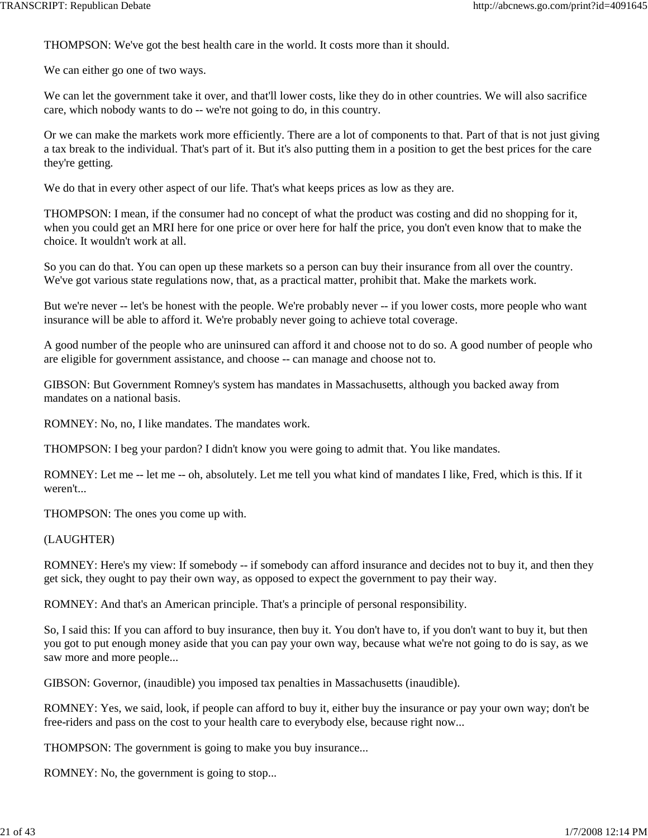THOMPSON: We've got the best health care in the world. It costs more than it should.

We can either go one of two ways.

We can let the government take it over, and that'll lower costs, like they do in other countries. We will also sacrifice care, which nobody wants to do -- we're not going to do, in this country.

Or we can make the markets work more efficiently. There are a lot of components to that. Part of that is not just giving a tax break to the individual. That's part of it. But it's also putting them in a position to get the best prices for the care they're getting.

We do that in every other aspect of our life. That's what keeps prices as low as they are.

THOMPSON: I mean, if the consumer had no concept of what the product was costing and did no shopping for it, when you could get an MRI here for one price or over here for half the price, you don't even know that to make the choice. It wouldn't work at all.

So you can do that. You can open up these markets so a person can buy their insurance from all over the country. We've got various state regulations now, that, as a practical matter, prohibit that. Make the markets work.

But we're never -- let's be honest with the people. We're probably never -- if you lower costs, more people who want insurance will be able to afford it. We're probably never going to achieve total coverage.

A good number of the people who are uninsured can afford it and choose not to do so. A good number of people who are eligible for government assistance, and choose -- can manage and choose not to.

GIBSON: But Government Romney's system has mandates in Massachusetts, although you backed away from mandates on a national basis.

ROMNEY: No, no, I like mandates. The mandates work.

THOMPSON: I beg your pardon? I didn't know you were going to admit that. You like mandates.

ROMNEY: Let me -- let me -- oh, absolutely. Let me tell you what kind of mandates I like, Fred, which is this. If it weren't...

THOMPSON: The ones you come up with.

# (LAUGHTER)

ROMNEY: Here's my view: If somebody -- if somebody can afford insurance and decides not to buy it, and then they get sick, they ought to pay their own way, as opposed to expect the government to pay their way.

ROMNEY: And that's an American principle. That's a principle of personal responsibility.

So, I said this: If you can afford to buy insurance, then buy it. You don't have to, if you don't want to buy it, but then you got to put enough money aside that you can pay your own way, because what we're not going to do is say, as we saw more and more people...

GIBSON: Governor, (inaudible) you imposed tax penalties in Massachusetts (inaudible).

ROMNEY: Yes, we said, look, if people can afford to buy it, either buy the insurance or pay your own way; don't be free-riders and pass on the cost to your health care to everybody else, because right now...

THOMPSON: The government is going to make you buy insurance...

ROMNEY: No, the government is going to stop...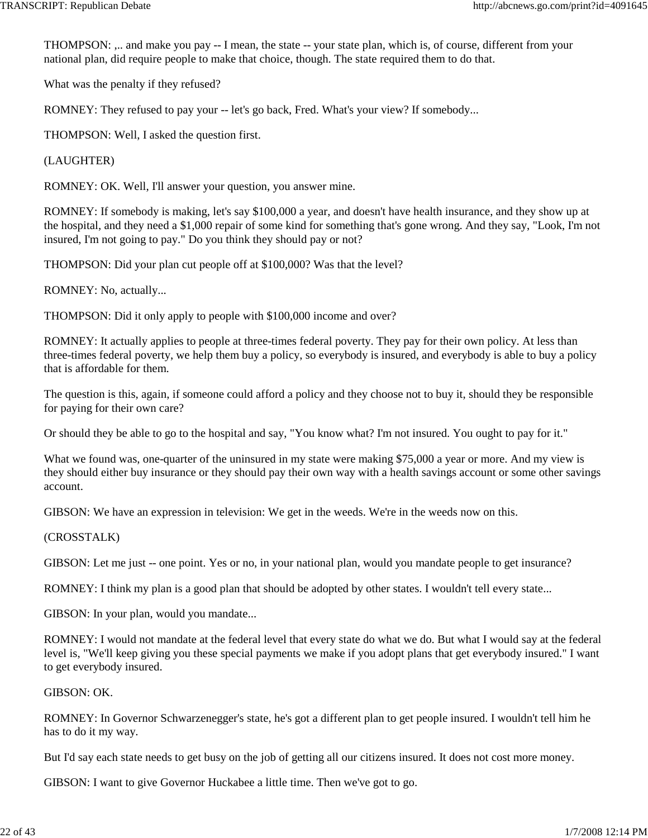THOMPSON: ,.. and make you pay -- I mean, the state -- your state plan, which is, of course, different from your national plan, did require people to make that choice, though. The state required them to do that.

What was the penalty if they refused?

ROMNEY: They refused to pay your -- let's go back, Fred. What's your view? If somebody...

THOMPSON: Well, I asked the question first.

(LAUGHTER)

ROMNEY: OK. Well, I'll answer your question, you answer mine.

ROMNEY: If somebody is making, let's say \$100,000 a year, and doesn't have health insurance, and they show up at the hospital, and they need a \$1,000 repair of some kind for something that's gone wrong. And they say, "Look, I'm not insured, I'm not going to pay." Do you think they should pay or not?

THOMPSON: Did your plan cut people off at \$100,000? Was that the level?

ROMNEY: No, actually...

THOMPSON: Did it only apply to people with \$100,000 income and over?

ROMNEY: It actually applies to people at three-times federal poverty. They pay for their own policy. At less than three-times federal poverty, we help them buy a policy, so everybody is insured, and everybody is able to buy a policy that is affordable for them.

The question is this, again, if someone could afford a policy and they choose not to buy it, should they be responsible for paying for their own care?

Or should they be able to go to the hospital and say, "You know what? I'm not insured. You ought to pay for it."

What we found was, one-quarter of the uninsured in my state were making \$75,000 a year or more. And my view is they should either buy insurance or they should pay their own way with a health savings account or some other savings account.

GIBSON: We have an expression in television: We get in the weeds. We're in the weeds now on this.

## (CROSSTALK)

GIBSON: Let me just -- one point. Yes or no, in your national plan, would you mandate people to get insurance?

ROMNEY: I think my plan is a good plan that should be adopted by other states. I wouldn't tell every state...

GIBSON: In your plan, would you mandate...

ROMNEY: I would not mandate at the federal level that every state do what we do. But what I would say at the federal level is, "We'll keep giving you these special payments we make if you adopt plans that get everybody insured." I want to get everybody insured.

## GIBSON: OK.

ROMNEY: In Governor Schwarzenegger's state, he's got a different plan to get people insured. I wouldn't tell him he has to do it my way.

But I'd say each state needs to get busy on the job of getting all our citizens insured. It does not cost more money.

GIBSON: I want to give Governor Huckabee a little time. Then we've got to go.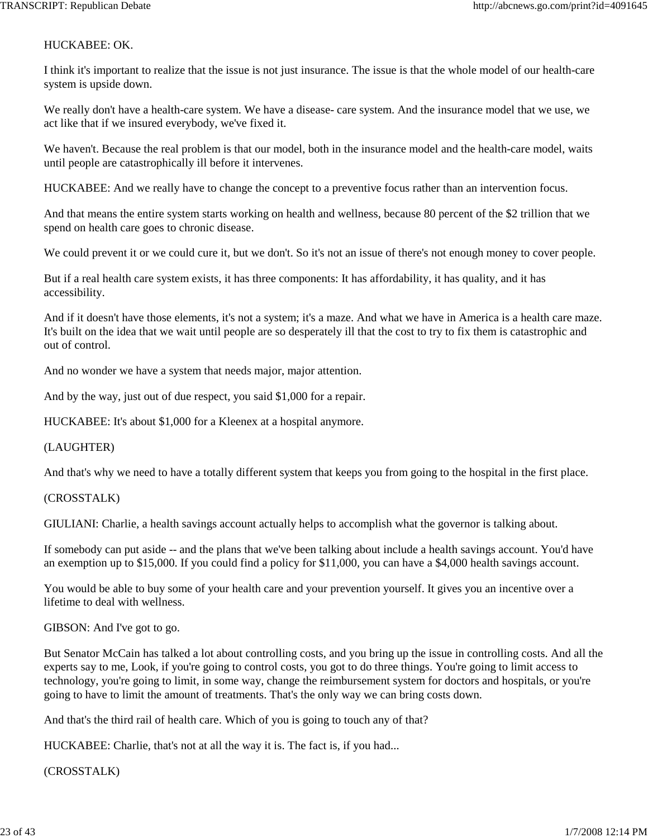# HUCKABEE: OK.

I think it's important to realize that the issue is not just insurance. The issue is that the whole model of our health-care system is upside down.

We really don't have a health-care system. We have a disease- care system. And the insurance model that we use, we act like that if we insured everybody, we've fixed it.

We haven't. Because the real problem is that our model, both in the insurance model and the health-care model, waits until people are catastrophically ill before it intervenes.

HUCKABEE: And we really have to change the concept to a preventive focus rather than an intervention focus.

And that means the entire system starts working on health and wellness, because 80 percent of the \$2 trillion that we spend on health care goes to chronic disease.

We could prevent it or we could cure it, but we don't. So it's not an issue of there's not enough money to cover people.

But if a real health care system exists, it has three components: It has affordability, it has quality, and it has accessibility.

And if it doesn't have those elements, it's not a system; it's a maze. And what we have in America is a health care maze. It's built on the idea that we wait until people are so desperately ill that the cost to try to fix them is catastrophic and out of control.

And no wonder we have a system that needs major, major attention.

And by the way, just out of due respect, you said \$1,000 for a repair.

HUCKABEE: It's about \$1,000 for a Kleenex at a hospital anymore.

## (LAUGHTER)

And that's why we need to have a totally different system that keeps you from going to the hospital in the first place.

## (CROSSTALK)

GIULIANI: Charlie, a health savings account actually helps to accomplish what the governor is talking about.

If somebody can put aside -- and the plans that we've been talking about include a health savings account. You'd have an exemption up to \$15,000. If you could find a policy for \$11,000, you can have a \$4,000 health savings account.

You would be able to buy some of your health care and your prevention yourself. It gives you an incentive over a lifetime to deal with wellness.

## GIBSON: And I've got to go.

But Senator McCain has talked a lot about controlling costs, and you bring up the issue in controlling costs. And all the experts say to me, Look, if you're going to control costs, you got to do three things. You're going to limit access to technology, you're going to limit, in some way, change the reimbursement system for doctors and hospitals, or you're going to have to limit the amount of treatments. That's the only way we can bring costs down.

And that's the third rail of health care. Which of you is going to touch any of that?

HUCKABEE: Charlie, that's not at all the way it is. The fact is, if you had...

## (CROSSTALK)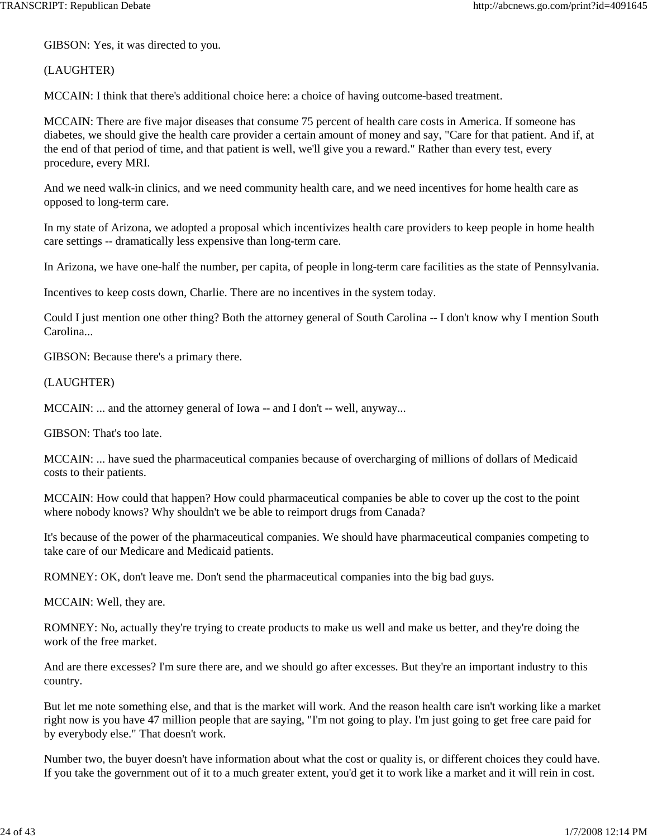GIBSON: Yes, it was directed to you.

# (LAUGHTER)

MCCAIN: I think that there's additional choice here: a choice of having outcome-based treatment.

MCCAIN: There are five major diseases that consume 75 percent of health care costs in America. If someone has diabetes, we should give the health care provider a certain amount of money and say, "Care for that patient. And if, at the end of that period of time, and that patient is well, we'll give you a reward." Rather than every test, every procedure, every MRI.

And we need walk-in clinics, and we need community health care, and we need incentives for home health care as opposed to long-term care.

In my state of Arizona, we adopted a proposal which incentivizes health care providers to keep people in home health care settings -- dramatically less expensive than long-term care.

In Arizona, we have one-half the number, per capita, of people in long-term care facilities as the state of Pennsylvania.

Incentives to keep costs down, Charlie. There are no incentives in the system today.

Could I just mention one other thing? Both the attorney general of South Carolina -- I don't know why I mention South Carolina...

GIBSON: Because there's a primary there.

#### (LAUGHTER)

MCCAIN: ... and the attorney general of Iowa -- and I don't -- well, anyway...

GIBSON: That's too late.

MCCAIN: ... have sued the pharmaceutical companies because of overcharging of millions of dollars of Medicaid costs to their patients.

MCCAIN: How could that happen? How could pharmaceutical companies be able to cover up the cost to the point where nobody knows? Why shouldn't we be able to reimport drugs from Canada?

It's because of the power of the pharmaceutical companies. We should have pharmaceutical companies competing to take care of our Medicare and Medicaid patients.

ROMNEY: OK, don't leave me. Don't send the pharmaceutical companies into the big bad guys.

MCCAIN: Well, they are.

ROMNEY: No, actually they're trying to create products to make us well and make us better, and they're doing the work of the free market.

And are there excesses? I'm sure there are, and we should go after excesses. But they're an important industry to this country.

But let me note something else, and that is the market will work. And the reason health care isn't working like a market right now is you have 47 million people that are saying, "I'm not going to play. I'm just going to get free care paid for by everybody else." That doesn't work.

Number two, the buyer doesn't have information about what the cost or quality is, or different choices they could have. If you take the government out of it to a much greater extent, you'd get it to work like a market and it will rein in cost.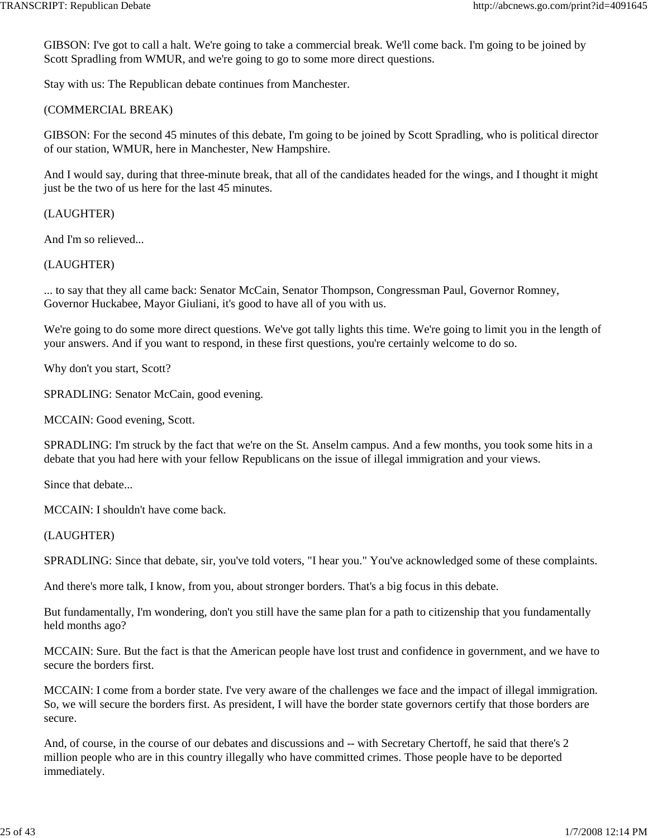GIBSON: I've got to call a halt. We're going to take a commercial break. We'll come back. I'm going to be joined by Scott Spradling from WMUR, and we're going to go to some more direct questions.

Stay with us: The Republican debate continues from Manchester.

# (COMMERCIAL BREAK)

GIBSON: For the second 45 minutes of this debate, I'm going to be joined by Scott Spradling, who is political director of our station, WMUR, here in Manchester, New Hampshire.

And I would say, during that three-minute break, that all of the candidates headed for the wings, and I thought it might just be the two of us here for the last 45 minutes.

(LAUGHTER)

And I'm so relieved...

## (LAUGHTER)

... to say that they all came back: Senator McCain, Senator Thompson, Congressman Paul, Governor Romney, Governor Huckabee, Mayor Giuliani, it's good to have all of you with us.

We're going to do some more direct questions. We've got tally lights this time. We're going to limit you in the length of your answers. And if you want to respond, in these first questions, you're certainly welcome to do so.

Why don't you start, Scott?

SPRADLING: Senator McCain, good evening.

MCCAIN: Good evening, Scott.

SPRADLING: I'm struck by the fact that we're on the St. Anselm campus. And a few months, you took some hits in a debate that you had here with your fellow Republicans on the issue of illegal immigration and your views.

Since that debate...

MCCAIN: I shouldn't have come back.

## (LAUGHTER)

SPRADLING: Since that debate, sir, you've told voters, "I hear you." You've acknowledged some of these complaints.

And there's more talk, I know, from you, about stronger borders. That's a big focus in this debate.

But fundamentally, I'm wondering, don't you still have the same plan for a path to citizenship that you fundamentally held months ago?

MCCAIN: Sure. But the fact is that the American people have lost trust and confidence in government, and we have to secure the borders first.

MCCAIN: I come from a border state. I've very aware of the challenges we face and the impact of illegal immigration. So, we will secure the borders first. As president, I will have the border state governors certify that those borders are secure.

And, of course, in the course of our debates and discussions and -- with Secretary Chertoff, he said that there's 2 million people who are in this country illegally who have committed crimes. Those people have to be deported immediately.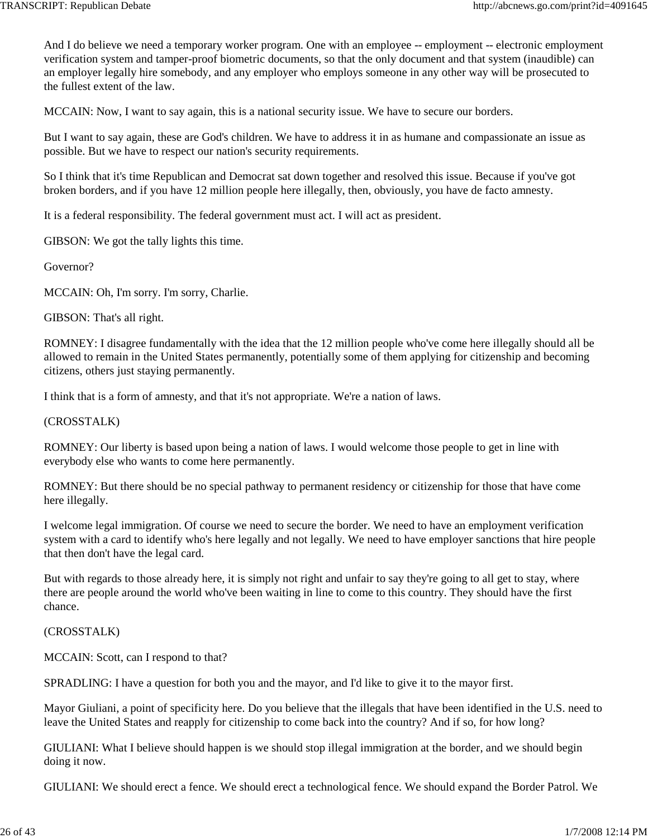And I do believe we need a temporary worker program. One with an employee -- employment -- electronic employment verification system and tamper-proof biometric documents, so that the only document and that system (inaudible) can an employer legally hire somebody, and any employer who employs someone in any other way will be prosecuted to the fullest extent of the law.

MCCAIN: Now, I want to say again, this is a national security issue. We have to secure our borders.

But I want to say again, these are God's children. We have to address it in as humane and compassionate an issue as possible. But we have to respect our nation's security requirements.

So I think that it's time Republican and Democrat sat down together and resolved this issue. Because if you've got broken borders, and if you have 12 million people here illegally, then, obviously, you have de facto amnesty.

It is a federal responsibility. The federal government must act. I will act as president.

GIBSON: We got the tally lights this time.

Governor?

MCCAIN: Oh, I'm sorry. I'm sorry, Charlie.

GIBSON: That's all right.

ROMNEY: I disagree fundamentally with the idea that the 12 million people who've come here illegally should all be allowed to remain in the United States permanently, potentially some of them applying for citizenship and becoming citizens, others just staying permanently.

I think that is a form of amnesty, and that it's not appropriate. We're a nation of laws.

#### (CROSSTALK)

ROMNEY: Our liberty is based upon being a nation of laws. I would welcome those people to get in line with everybody else who wants to come here permanently.

ROMNEY: But there should be no special pathway to permanent residency or citizenship for those that have come here illegally.

I welcome legal immigration. Of course we need to secure the border. We need to have an employment verification system with a card to identify who's here legally and not legally. We need to have employer sanctions that hire people that then don't have the legal card.

But with regards to those already here, it is simply not right and unfair to say they're going to all get to stay, where there are people around the world who've been waiting in line to come to this country. They should have the first chance.

(CROSSTALK)

MCCAIN: Scott, can I respond to that?

SPRADLING: I have a question for both you and the mayor, and I'd like to give it to the mayor first.

Mayor Giuliani, a point of specificity here. Do you believe that the illegals that have been identified in the U.S. need to leave the United States and reapply for citizenship to come back into the country? And if so, for how long?

GIULIANI: What I believe should happen is we should stop illegal immigration at the border, and we should begin doing it now.

GIULIANI: We should erect a fence. We should erect a technological fence. We should expand the Border Patrol. We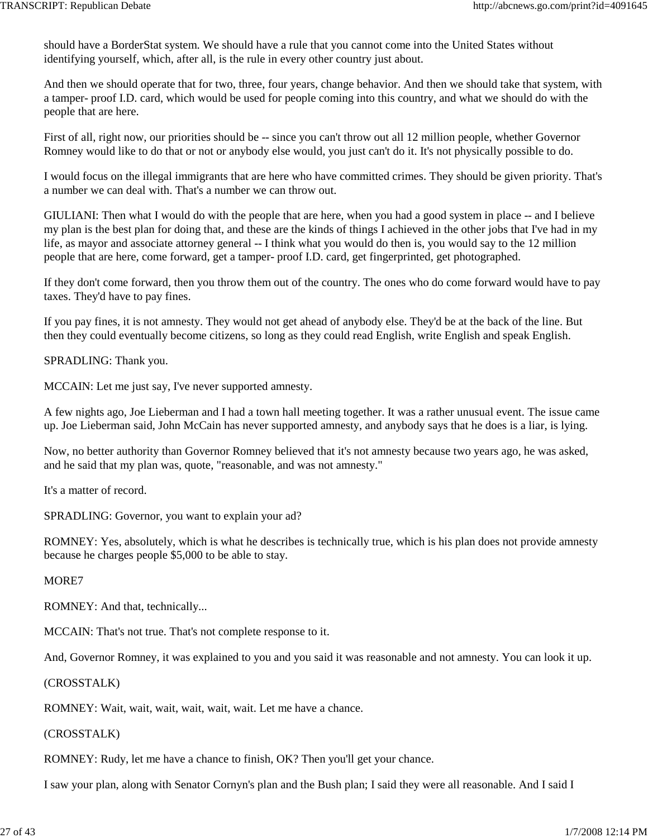should have a BorderStat system. We should have a rule that you cannot come into the United States without identifying yourself, which, after all, is the rule in every other country just about.

And then we should operate that for two, three, four years, change behavior. And then we should take that system, with a tamper- proof I.D. card, which would be used for people coming into this country, and what we should do with the people that are here.

First of all, right now, our priorities should be -- since you can't throw out all 12 million people, whether Governor Romney would like to do that or not or anybody else would, you just can't do it. It's not physically possible to do.

I would focus on the illegal immigrants that are here who have committed crimes. They should be given priority. That's a number we can deal with. That's a number we can throw out.

GIULIANI: Then what I would do with the people that are here, when you had a good system in place -- and I believe my plan is the best plan for doing that, and these are the kinds of things I achieved in the other jobs that I've had in my life, as mayor and associate attorney general -- I think what you would do then is, you would say to the 12 million people that are here, come forward, get a tamper- proof I.D. card, get fingerprinted, get photographed.

If they don't come forward, then you throw them out of the country. The ones who do come forward would have to pay taxes. They'd have to pay fines.

If you pay fines, it is not amnesty. They would not get ahead of anybody else. They'd be at the back of the line. But then they could eventually become citizens, so long as they could read English, write English and speak English.

SPRADLING: Thank you.

MCCAIN: Let me just say, I've never supported amnesty.

A few nights ago, Joe Lieberman and I had a town hall meeting together. It was a rather unusual event. The issue came up. Joe Lieberman said, John McCain has never supported amnesty, and anybody says that he does is a liar, is lying.

Now, no better authority than Governor Romney believed that it's not amnesty because two years ago, he was asked, and he said that my plan was, quote, "reasonable, and was not amnesty."

It's a matter of record.

SPRADLING: Governor, you want to explain your ad?

ROMNEY: Yes, absolutely, which is what he describes is technically true, which is his plan does not provide amnesty because he charges people \$5,000 to be able to stay.

#### MORE7

ROMNEY: And that, technically...

MCCAIN: That's not true. That's not complete response to it.

And, Governor Romney, it was explained to you and you said it was reasonable and not amnesty. You can look it up.

(CROSSTALK)

ROMNEY: Wait, wait, wait, wait, wait, wait. Let me have a chance.

(CROSSTALK)

ROMNEY: Rudy, let me have a chance to finish, OK? Then you'll get your chance.

I saw your plan, along with Senator Cornyn's plan and the Bush plan; I said they were all reasonable. And I said I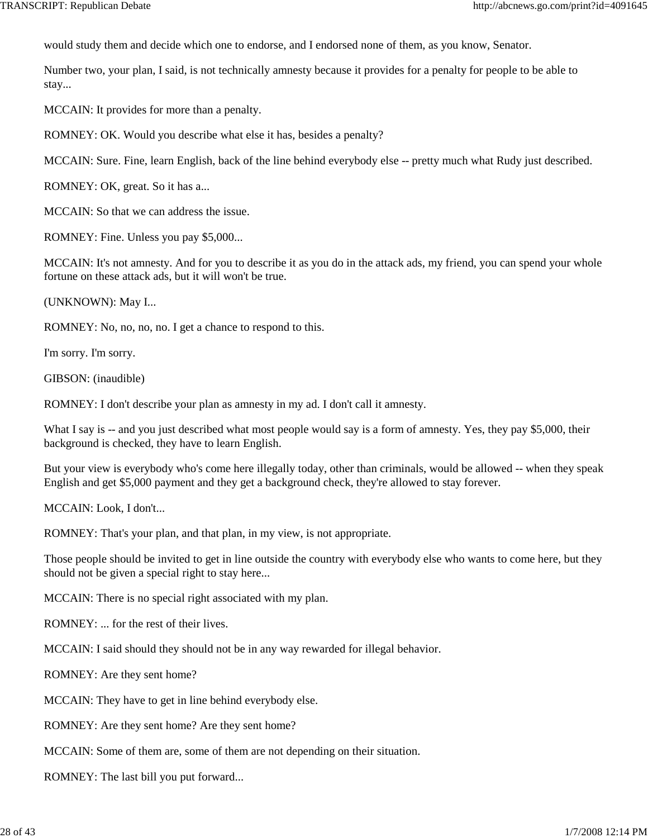would study them and decide which one to endorse, and I endorsed none of them, as you know, Senator.

Number two, your plan, I said, is not technically amnesty because it provides for a penalty for people to be able to stay...

MCCAIN: It provides for more than a penalty.

ROMNEY: OK. Would you describe what else it has, besides a penalty?

MCCAIN: Sure. Fine, learn English, back of the line behind everybody else -- pretty much what Rudy just described.

ROMNEY: OK, great. So it has a...

MCCAIN: So that we can address the issue.

ROMNEY: Fine. Unless you pay \$5,000...

MCCAIN: It's not amnesty. And for you to describe it as you do in the attack ads, my friend, you can spend your whole fortune on these attack ads, but it will won't be true.

(UNKNOWN): May I...

ROMNEY: No, no, no, no. I get a chance to respond to this.

I'm sorry. I'm sorry.

GIBSON: (inaudible)

ROMNEY: I don't describe your plan as amnesty in my ad. I don't call it amnesty.

What I say is -- and you just described what most people would say is a form of amnesty. Yes, they pay \$5,000, their background is checked, they have to learn English.

But your view is everybody who's come here illegally today, other than criminals, would be allowed -- when they speak English and get \$5,000 payment and they get a background check, they're allowed to stay forever.

MCCAIN: Look, I don't...

ROMNEY: That's your plan, and that plan, in my view, is not appropriate.

Those people should be invited to get in line outside the country with everybody else who wants to come here, but they should not be given a special right to stay here...

MCCAIN: There is no special right associated with my plan.

ROMNEY: ... for the rest of their lives.

MCCAIN: I said should they should not be in any way rewarded for illegal behavior.

ROMNEY: Are they sent home?

MCCAIN: They have to get in line behind everybody else.

ROMNEY: Are they sent home? Are they sent home?

MCCAIN: Some of them are, some of them are not depending on their situation.

ROMNEY: The last bill you put forward...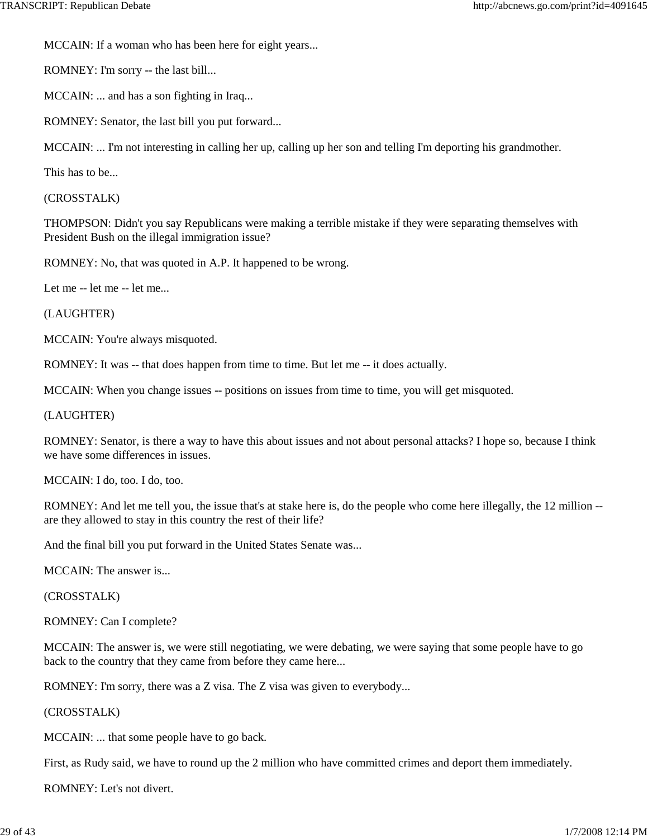MCCAIN: If a woman who has been here for eight years...

ROMNEY: I'm sorry -- the last bill...

MCCAIN: ... and has a son fighting in Iraq...

ROMNEY: Senator, the last bill you put forward...

MCCAIN: ... I'm not interesting in calling her up, calling up her son and telling I'm deporting his grandmother.

This has to be...

(CROSSTALK)

THOMPSON: Didn't you say Republicans were making a terrible mistake if they were separating themselves with President Bush on the illegal immigration issue?

ROMNEY: No, that was quoted in A.P. It happened to be wrong.

Let me -- let me -- let me...

(LAUGHTER)

MCCAIN: You're always misquoted.

ROMNEY: It was -- that does happen from time to time. But let me -- it does actually.

MCCAIN: When you change issues -- positions on issues from time to time, you will get misquoted.

(LAUGHTER)

ROMNEY: Senator, is there a way to have this about issues and not about personal attacks? I hope so, because I think we have some differences in issues.

MCCAIN: I do, too. I do, too.

ROMNEY: And let me tell you, the issue that's at stake here is, do the people who come here illegally, the 12 million - are they allowed to stay in this country the rest of their life?

And the final bill you put forward in the United States Senate was...

MCCAIN: The answer is...

(CROSSTALK)

ROMNEY: Can I complete?

MCCAIN: The answer is, we were still negotiating, we were debating, we were saying that some people have to go back to the country that they came from before they came here...

ROMNEY: I'm sorry, there was a Z visa. The Z visa was given to everybody...

## (CROSSTALK)

MCCAIN: ... that some people have to go back.

First, as Rudy said, we have to round up the 2 million who have committed crimes and deport them immediately.

ROMNEY: Let's not divert.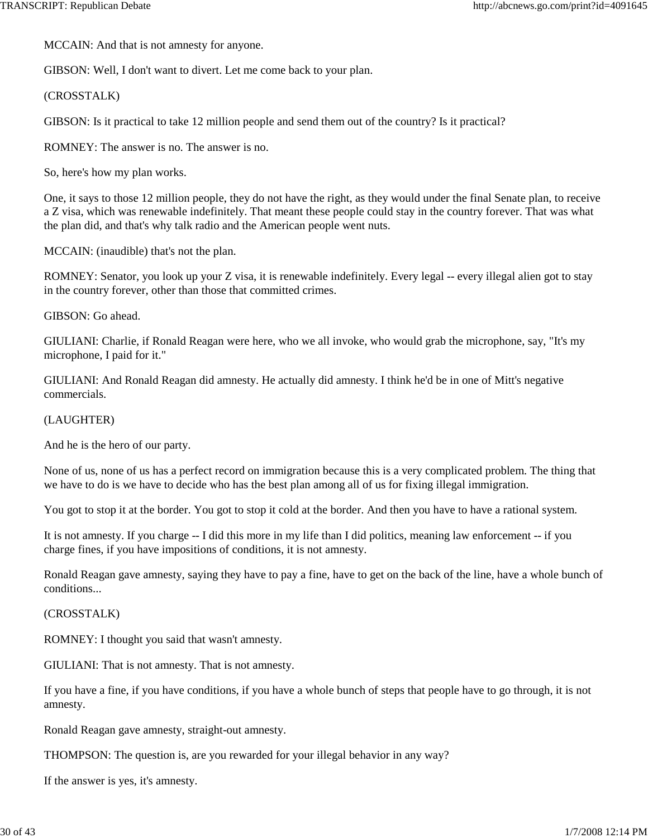MCCAIN: And that is not amnesty for anyone.

GIBSON: Well, I don't want to divert. Let me come back to your plan.

(CROSSTALK)

GIBSON: Is it practical to take 12 million people and send them out of the country? Is it practical?

ROMNEY: The answer is no. The answer is no.

So, here's how my plan works.

One, it says to those 12 million people, they do not have the right, as they would under the final Senate plan, to receive a Z visa, which was renewable indefinitely. That meant these people could stay in the country forever. That was what the plan did, and that's why talk radio and the American people went nuts.

MCCAIN: (inaudible) that's not the plan.

ROMNEY: Senator, you look up your Z visa, it is renewable indefinitely. Every legal -- every illegal alien got to stay in the country forever, other than those that committed crimes.

GIBSON: Go ahead.

GIULIANI: Charlie, if Ronald Reagan were here, who we all invoke, who would grab the microphone, say, "It's my microphone, I paid for it."

GIULIANI: And Ronald Reagan did amnesty. He actually did amnesty. I think he'd be in one of Mitt's negative commercials.

## (LAUGHTER)

And he is the hero of our party.

None of us, none of us has a perfect record on immigration because this is a very complicated problem. The thing that we have to do is we have to decide who has the best plan among all of us for fixing illegal immigration.

You got to stop it at the border. You got to stop it cold at the border. And then you have to have a rational system.

It is not amnesty. If you charge -- I did this more in my life than I did politics, meaning law enforcement -- if you charge fines, if you have impositions of conditions, it is not amnesty.

Ronald Reagan gave amnesty, saying they have to pay a fine, have to get on the back of the line, have a whole bunch of conditions...

(CROSSTALK)

ROMNEY: I thought you said that wasn't amnesty.

GIULIANI: That is not amnesty. That is not amnesty.

If you have a fine, if you have conditions, if you have a whole bunch of steps that people have to go through, it is not amnesty.

Ronald Reagan gave amnesty, straight-out amnesty.

THOMPSON: The question is, are you rewarded for your illegal behavior in any way?

If the answer is yes, it's amnesty.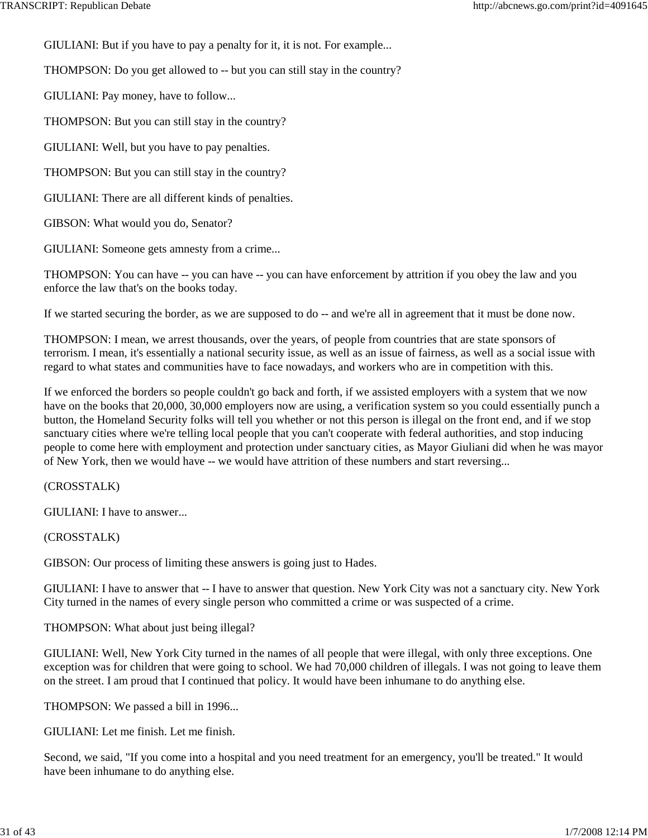GIULIANI: But if you have to pay a penalty for it, it is not. For example...

THOMPSON: Do you get allowed to -- but you can still stay in the country?

GIULIANI: Pay money, have to follow...

THOMPSON: But you can still stay in the country?

GIULIANI: Well, but you have to pay penalties.

THOMPSON: But you can still stay in the country?

GIULIANI: There are all different kinds of penalties.

GIBSON: What would you do, Senator?

GIULIANI: Someone gets amnesty from a crime...

THOMPSON: You can have -- you can have -- you can have enforcement by attrition if you obey the law and you enforce the law that's on the books today.

If we started securing the border, as we are supposed to do -- and we're all in agreement that it must be done now.

THOMPSON: I mean, we arrest thousands, over the years, of people from countries that are state sponsors of terrorism. I mean, it's essentially a national security issue, as well as an issue of fairness, as well as a social issue with regard to what states and communities have to face nowadays, and workers who are in competition with this.

If we enforced the borders so people couldn't go back and forth, if we assisted employers with a system that we now have on the books that 20,000, 30,000 employers now are using, a verification system so you could essentially punch a button, the Homeland Security folks will tell you whether or not this person is illegal on the front end, and if we stop sanctuary cities where we're telling local people that you can't cooperate with federal authorities, and stop inducing people to come here with employment and protection under sanctuary cities, as Mayor Giuliani did when he was mayor of New York, then we would have -- we would have attrition of these numbers and start reversing...

(CROSSTALK)

GIULIANI: I have to answer...

(CROSSTALK)

GIBSON: Our process of limiting these answers is going just to Hades.

GIULIANI: I have to answer that -- I have to answer that question. New York City was not a sanctuary city. New York City turned in the names of every single person who committed a crime or was suspected of a crime.

THOMPSON: What about just being illegal?

GIULIANI: Well, New York City turned in the names of all people that were illegal, with only three exceptions. One exception was for children that were going to school. We had 70,000 children of illegals. I was not going to leave them on the street. I am proud that I continued that policy. It would have been inhumane to do anything else.

THOMPSON: We passed a bill in 1996...

GIULIANI: Let me finish. Let me finish.

Second, we said, "If you come into a hospital and you need treatment for an emergency, you'll be treated." It would have been inhumane to do anything else.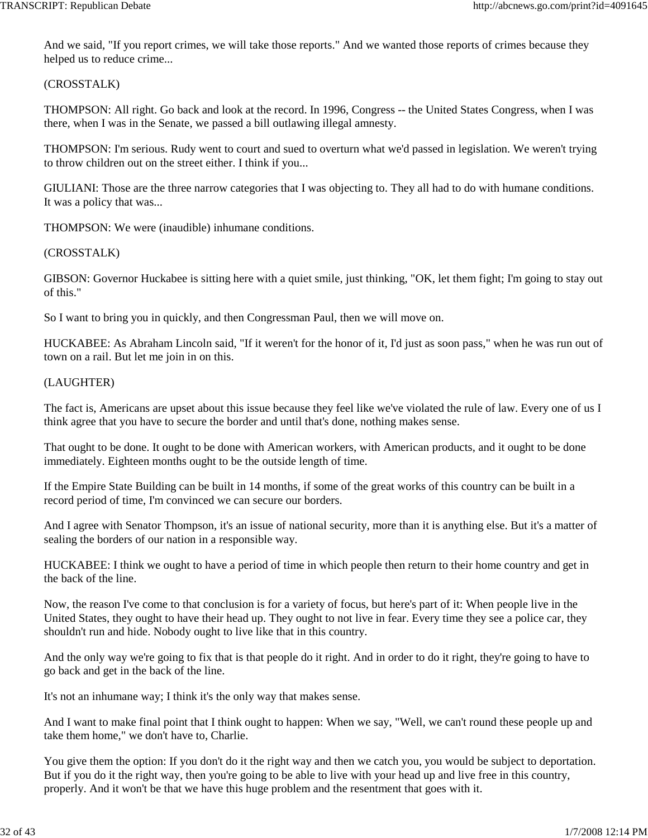And we said, "If you report crimes, we will take those reports." And we wanted those reports of crimes because they helped us to reduce crime...

# (CROSSTALK)

THOMPSON: All right. Go back and look at the record. In 1996, Congress -- the United States Congress, when I was there, when I was in the Senate, we passed a bill outlawing illegal amnesty.

THOMPSON: I'm serious. Rudy went to court and sued to overturn what we'd passed in legislation. We weren't trying to throw children out on the street either. I think if you...

GIULIANI: Those are the three narrow categories that I was objecting to. They all had to do with humane conditions. It was a policy that was...

THOMPSON: We were (inaudible) inhumane conditions.

# (CROSSTALK)

GIBSON: Governor Huckabee is sitting here with a quiet smile, just thinking, "OK, let them fight; I'm going to stay out of this."

So I want to bring you in quickly, and then Congressman Paul, then we will move on.

HUCKABEE: As Abraham Lincoln said, "If it weren't for the honor of it, I'd just as soon pass," when he was run out of town on a rail. But let me join in on this.

# (LAUGHTER)

The fact is, Americans are upset about this issue because they feel like we've violated the rule of law. Every one of us I think agree that you have to secure the border and until that's done, nothing makes sense.

That ought to be done. It ought to be done with American workers, with American products, and it ought to be done immediately. Eighteen months ought to be the outside length of time.

If the Empire State Building can be built in 14 months, if some of the great works of this country can be built in a record period of time, I'm convinced we can secure our borders.

And I agree with Senator Thompson, it's an issue of national security, more than it is anything else. But it's a matter of sealing the borders of our nation in a responsible way.

HUCKABEE: I think we ought to have a period of time in which people then return to their home country and get in the back of the line.

Now, the reason I've come to that conclusion is for a variety of focus, but here's part of it: When people live in the United States, they ought to have their head up. They ought to not live in fear. Every time they see a police car, they shouldn't run and hide. Nobody ought to live like that in this country.

And the only way we're going to fix that is that people do it right. And in order to do it right, they're going to have to go back and get in the back of the line.

It's not an inhumane way; I think it's the only way that makes sense.

And I want to make final point that I think ought to happen: When we say, "Well, we can't round these people up and take them home," we don't have to, Charlie.

You give them the option: If you don't do it the right way and then we catch you, you would be subject to deportation. But if you do it the right way, then you're going to be able to live with your head up and live free in this country, properly. And it won't be that we have this huge problem and the resentment that goes with it.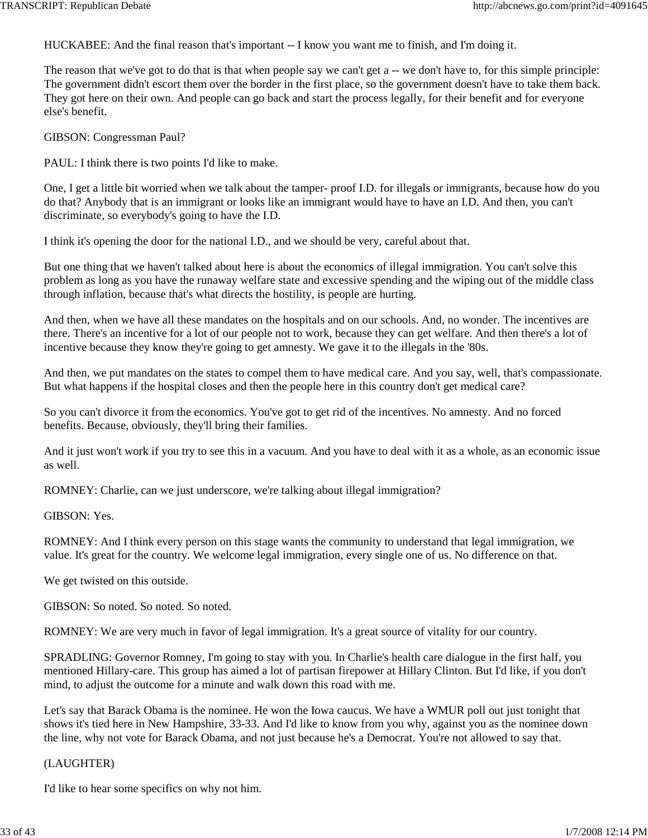HUCKABEE: And the final reason that's important -- I know you want me to finish, and I'm doing it.

The reason that we've got to do that is that when people say we can't get a -- we don't have to, for this simple principle: The government didn't escort them over the border in the first place, so the government doesn't have to take them back. They got here on their own. And people can go back and start the process legally, for their benefit and for everyone else's benefit.

GIBSON: Congressman Paul?

PAUL: I think there is two points I'd like to make.

One, I get a little bit worried when we talk about the tamper- proof I.D. for illegals or immigrants, because how do you do that? Anybody that is an immigrant or looks like an immigrant would have to have an I.D. And then, you can't discriminate, so everybody's going to have the I.D.

I think it's opening the door for the national I.D., and we should be very, careful about that.

But one thing that we haven't talked about here is about the economics of illegal immigration. You can't solve this problem as long as you have the runaway welfare state and excessive spending and the wiping out of the middle class through inflation, because that's what directs the hostility, is people are hurting.

And then, when we have all these mandates on the hospitals and on our schools. And, no wonder. The incentives are there. There's an incentive for a lot of our people not to work, because they can get welfare. And then there's a lot of incentive because they know they're going to get amnesty. We gave it to the illegals in the '80s.

And then, we put mandates on the states to compel them to have medical care. And you say, well, that's compassionate. But what happens if the hospital closes and then the people here in this country don't get medical care?

So you can't divorce it from the economics. You've got to get rid of the incentives. No amnesty. And no forced benefits. Because, obviously, they'll bring their families.

And it just won't work if you try to see this in a vacuum. And you have to deal with it as a whole, as an economic issue as well.

ROMNEY: Charlie, can we just underscore, we're talking about illegal immigration?

GIBSON: Yes.

ROMNEY: And I think every person on this stage wants the community to understand that legal immigration, we value. It's great for the country. We welcome legal immigration, every single one of us. No difference on that.

We get twisted on this outside.

GIBSON: So noted. So noted. So noted.

ROMNEY: We are very much in favor of legal immigration. It's a great source of vitality for our country.

SPRADLING: Governor Romney, I'm going to stay with you. In Charlie's health care dialogue in the first half, you mentioned Hillary-care. This group has aimed a lot of partisan firepower at Hillary Clinton. But I'd like, if you don't mind, to adjust the outcome for a minute and walk down this road with me.

Let's say that Barack Obama is the nominee. He won the Iowa caucus. We have a WMUR poll out just tonight that shows it's tied here in New Hampshire, 33-33. And I'd like to know from you why, against you as the nominee down the line, why not vote for Barack Obama, and not just because he's a Democrat. You're not allowed to say that.

# (LAUGHTER)

I'd like to hear some specifics on why not him.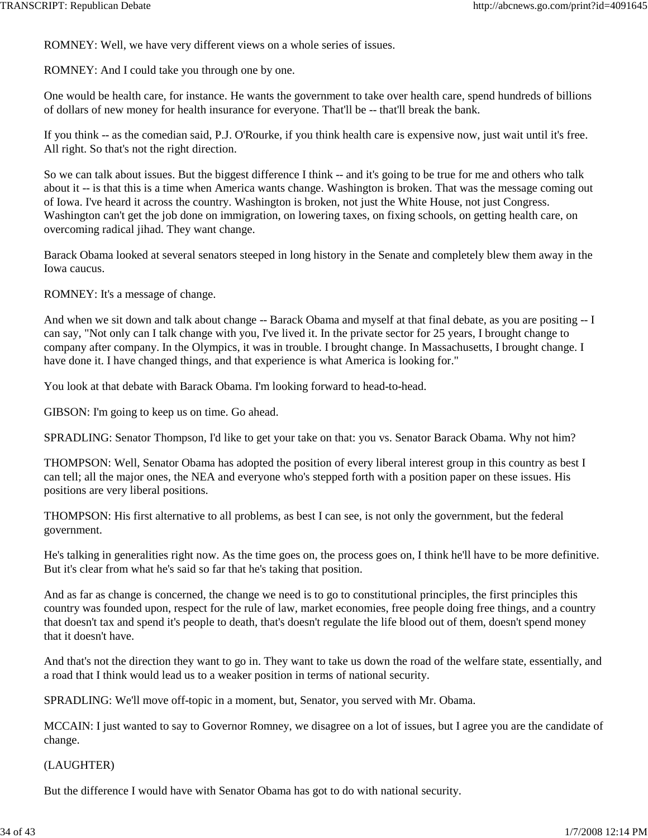ROMNEY: Well, we have very different views on a whole series of issues.

ROMNEY: And I could take you through one by one.

One would be health care, for instance. He wants the government to take over health care, spend hundreds of billions of dollars of new money for health insurance for everyone. That'll be -- that'll break the bank.

If you think -- as the comedian said, P.J. O'Rourke, if you think health care is expensive now, just wait until it's free. All right. So that's not the right direction.

So we can talk about issues. But the biggest difference I think -- and it's going to be true for me and others who talk about it -- is that this is a time when America wants change. Washington is broken. That was the message coming out of Iowa. I've heard it across the country. Washington is broken, not just the White House, not just Congress. Washington can't get the job done on immigration, on lowering taxes, on fixing schools, on getting health care, on overcoming radical jihad. They want change.

Barack Obama looked at several senators steeped in long history in the Senate and completely blew them away in the Iowa caucus.

ROMNEY: It's a message of change.

And when we sit down and talk about change -- Barack Obama and myself at that final debate, as you are positing -- I can say, "Not only can I talk change with you, I've lived it. In the private sector for 25 years, I brought change to company after company. In the Olympics, it was in trouble. I brought change. In Massachusetts, I brought change. I have done it. I have changed things, and that experience is what America is looking for."

You look at that debate with Barack Obama. I'm looking forward to head-to-head.

GIBSON: I'm going to keep us on time. Go ahead.

SPRADLING: Senator Thompson, I'd like to get your take on that: you vs. Senator Barack Obama. Why not him?

THOMPSON: Well, Senator Obama has adopted the position of every liberal interest group in this country as best I can tell; all the major ones, the NEA and everyone who's stepped forth with a position paper on these issues. His positions are very liberal positions.

THOMPSON: His first alternative to all problems, as best I can see, is not only the government, but the federal government.

He's talking in generalities right now. As the time goes on, the process goes on, I think he'll have to be more definitive. But it's clear from what he's said so far that he's taking that position.

And as far as change is concerned, the change we need is to go to constitutional principles, the first principles this country was founded upon, respect for the rule of law, market economies, free people doing free things, and a country that doesn't tax and spend it's people to death, that's doesn't regulate the life blood out of them, doesn't spend money that it doesn't have.

And that's not the direction they want to go in. They want to take us down the road of the welfare state, essentially, and a road that I think would lead us to a weaker position in terms of national security.

SPRADLING: We'll move off-topic in a moment, but, Senator, you served with Mr. Obama.

MCCAIN: I just wanted to say to Governor Romney, we disagree on a lot of issues, but I agree you are the candidate of change.

(LAUGHTER)

But the difference I would have with Senator Obama has got to do with national security.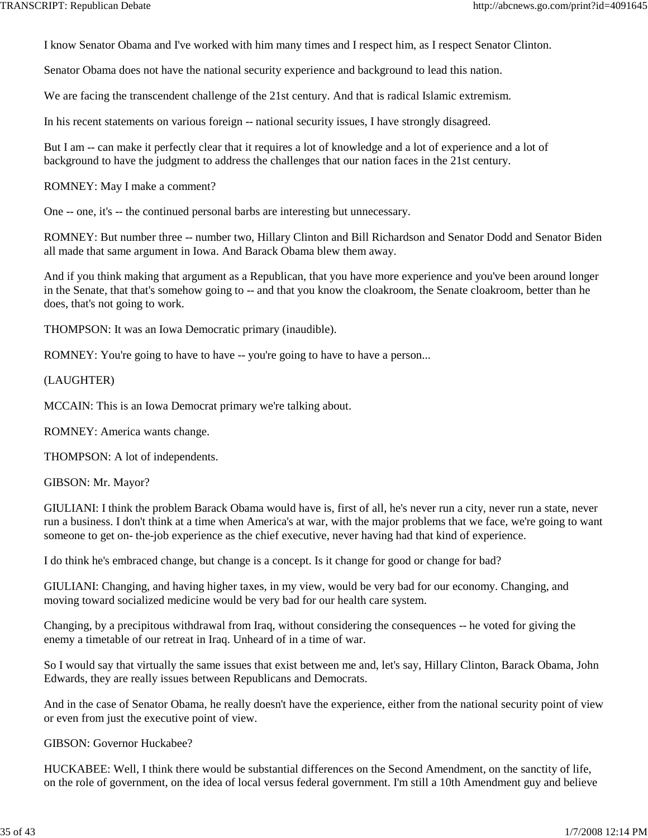I know Senator Obama and I've worked with him many times and I respect him, as I respect Senator Clinton.

Senator Obama does not have the national security experience and background to lead this nation.

We are facing the transcendent challenge of the 21st century. And that is radical Islamic extremism.

In his recent statements on various foreign -- national security issues, I have strongly disagreed.

But I am -- can make it perfectly clear that it requires a lot of knowledge and a lot of experience and a lot of background to have the judgment to address the challenges that our nation faces in the 21st century.

ROMNEY: May I make a comment?

One -- one, it's -- the continued personal barbs are interesting but unnecessary.

ROMNEY: But number three -- number two, Hillary Clinton and Bill Richardson and Senator Dodd and Senator Biden all made that same argument in Iowa. And Barack Obama blew them away.

And if you think making that argument as a Republican, that you have more experience and you've been around longer in the Senate, that that's somehow going to -- and that you know the cloakroom, the Senate cloakroom, better than he does, that's not going to work.

THOMPSON: It was an Iowa Democratic primary (inaudible).

ROMNEY: You're going to have to have -- you're going to have to have a person...

## (LAUGHTER)

MCCAIN: This is an Iowa Democrat primary we're talking about.

ROMNEY: America wants change.

THOMPSON: A lot of independents.

GIBSON: Mr. Mayor?

GIULIANI: I think the problem Barack Obama would have is, first of all, he's never run a city, never run a state, never run a business. I don't think at a time when America's at war, with the major problems that we face, we're going to want someone to get on- the-job experience as the chief executive, never having had that kind of experience.

I do think he's embraced change, but change is a concept. Is it change for good or change for bad?

GIULIANI: Changing, and having higher taxes, in my view, would be very bad for our economy. Changing, and moving toward socialized medicine would be very bad for our health care system.

Changing, by a precipitous withdrawal from Iraq, without considering the consequences -- he voted for giving the enemy a timetable of our retreat in Iraq. Unheard of in a time of war.

So I would say that virtually the same issues that exist between me and, let's say, Hillary Clinton, Barack Obama, John Edwards, they are really issues between Republicans and Democrats.

And in the case of Senator Obama, he really doesn't have the experience, either from the national security point of view or even from just the executive point of view.

#### GIBSON: Governor Huckabee?

HUCKABEE: Well, I think there would be substantial differences on the Second Amendment, on the sanctity of life, on the role of government, on the idea of local versus federal government. I'm still a 10th Amendment guy and believe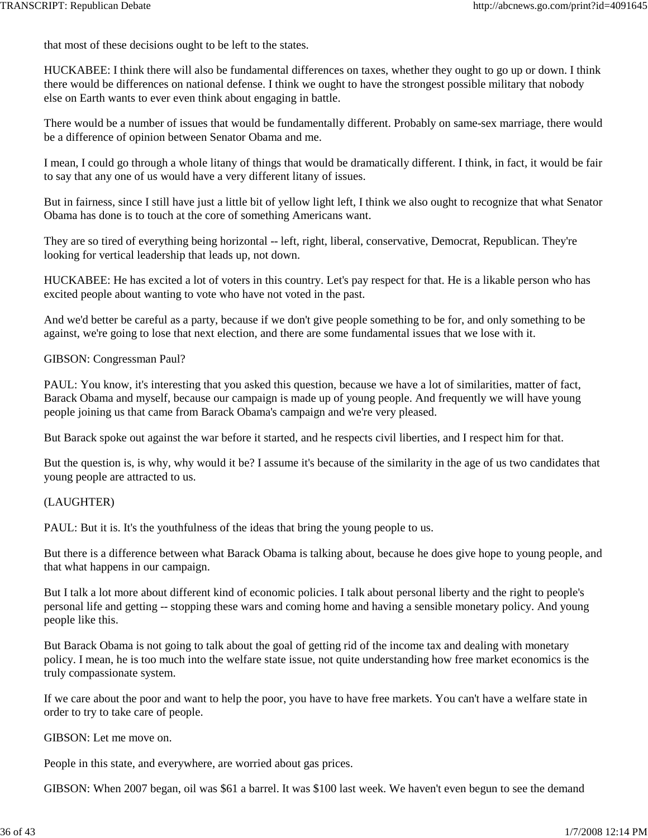that most of these decisions ought to be left to the states.

HUCKABEE: I think there will also be fundamental differences on taxes, whether they ought to go up or down. I think there would be differences on national defense. I think we ought to have the strongest possible military that nobody else on Earth wants to ever even think about engaging in battle.

There would be a number of issues that would be fundamentally different. Probably on same-sex marriage, there would be a difference of opinion between Senator Obama and me.

I mean, I could go through a whole litany of things that would be dramatically different. I think, in fact, it would be fair to say that any one of us would have a very different litany of issues.

But in fairness, since I still have just a little bit of yellow light left, I think we also ought to recognize that what Senator Obama has done is to touch at the core of something Americans want.

They are so tired of everything being horizontal -- left, right, liberal, conservative, Democrat, Republican. They're looking for vertical leadership that leads up, not down.

HUCKABEE: He has excited a lot of voters in this country. Let's pay respect for that. He is a likable person who has excited people about wanting to vote who have not voted in the past.

And we'd better be careful as a party, because if we don't give people something to be for, and only something to be against, we're going to lose that next election, and there are some fundamental issues that we lose with it.

# GIBSON: Congressman Paul?

PAUL: You know, it's interesting that you asked this question, because we have a lot of similarities, matter of fact, Barack Obama and myself, because our campaign is made up of young people. And frequently we will have young people joining us that came from Barack Obama's campaign and we're very pleased.

But Barack spoke out against the war before it started, and he respects civil liberties, and I respect him for that.

But the question is, is why, why would it be? I assume it's because of the similarity in the age of us two candidates that young people are attracted to us.

# (LAUGHTER)

PAUL: But it is. It's the youthfulness of the ideas that bring the young people to us.

But there is a difference between what Barack Obama is talking about, because he does give hope to young people, and that what happens in our campaign.

But I talk a lot more about different kind of economic policies. I talk about personal liberty and the right to people's personal life and getting -- stopping these wars and coming home and having a sensible monetary policy. And young people like this.

But Barack Obama is not going to talk about the goal of getting rid of the income tax and dealing with monetary policy. I mean, he is too much into the welfare state issue, not quite understanding how free market economics is the truly compassionate system.

If we care about the poor and want to help the poor, you have to have free markets. You can't have a welfare state in order to try to take care of people.

GIBSON: Let me move on.

People in this state, and everywhere, are worried about gas prices.

GIBSON: When 2007 began, oil was \$61 a barrel. It was \$100 last week. We haven't even begun to see the demand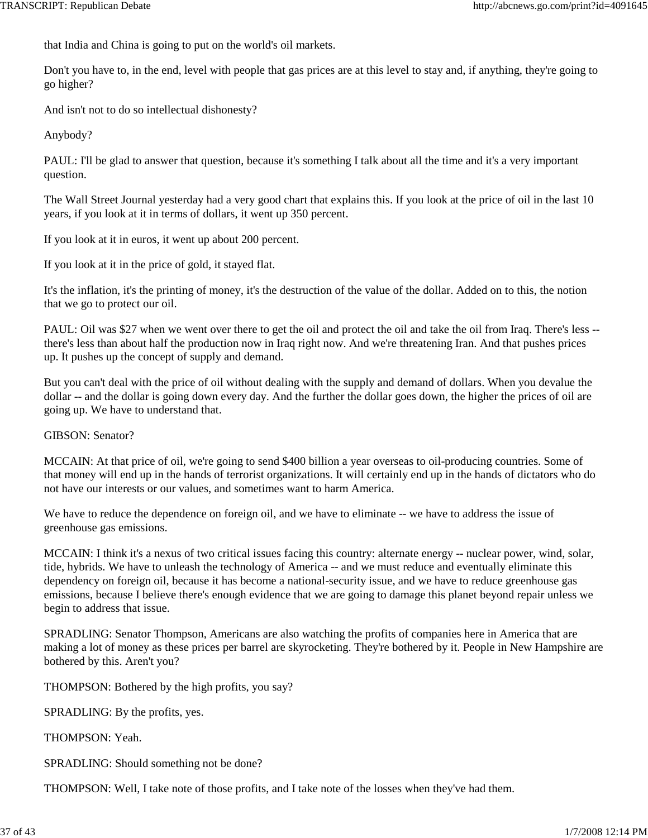that India and China is going to put on the world's oil markets.

Don't you have to, in the end, level with people that gas prices are at this level to stay and, if anything, they're going to go higher?

And isn't not to do so intellectual dishonesty?

Anybody?

PAUL: I'll be glad to answer that question, because it's something I talk about all the time and it's a very important question.

The Wall Street Journal yesterday had a very good chart that explains this. If you look at the price of oil in the last 10 years, if you look at it in terms of dollars, it went up 350 percent.

If you look at it in euros, it went up about 200 percent.

If you look at it in the price of gold, it stayed flat.

It's the inflation, it's the printing of money, it's the destruction of the value of the dollar. Added on to this, the notion that we go to protect our oil.

PAUL: Oil was \$27 when we went over there to get the oil and protect the oil and take the oil from Iraq. There's less - there's less than about half the production now in Iraq right now. And we're threatening Iran. And that pushes prices up. It pushes up the concept of supply and demand.

But you can't deal with the price of oil without dealing with the supply and demand of dollars. When you devalue the dollar -- and the dollar is going down every day. And the further the dollar goes down, the higher the prices of oil are going up. We have to understand that.

GIBSON: Senator?

MCCAIN: At that price of oil, we're going to send \$400 billion a year overseas to oil-producing countries. Some of that money will end up in the hands of terrorist organizations. It will certainly end up in the hands of dictators who do not have our interests or our values, and sometimes want to harm America.

We have to reduce the dependence on foreign oil, and we have to eliminate -- we have to address the issue of greenhouse gas emissions.

MCCAIN: I think it's a nexus of two critical issues facing this country: alternate energy -- nuclear power, wind, solar, tide, hybrids. We have to unleash the technology of America -- and we must reduce and eventually eliminate this dependency on foreign oil, because it has become a national-security issue, and we have to reduce greenhouse gas emissions, because I believe there's enough evidence that we are going to damage this planet beyond repair unless we begin to address that issue.

SPRADLING: Senator Thompson, Americans are also watching the profits of companies here in America that are making a lot of money as these prices per barrel are skyrocketing. They're bothered by it. People in New Hampshire are bothered by this. Aren't you?

THOMPSON: Bothered by the high profits, you say?

SPRADLING: By the profits, yes.

THOMPSON: Yeah.

SPRADLING: Should something not be done?

THOMPSON: Well, I take note of those profits, and I take note of the losses when they've had them.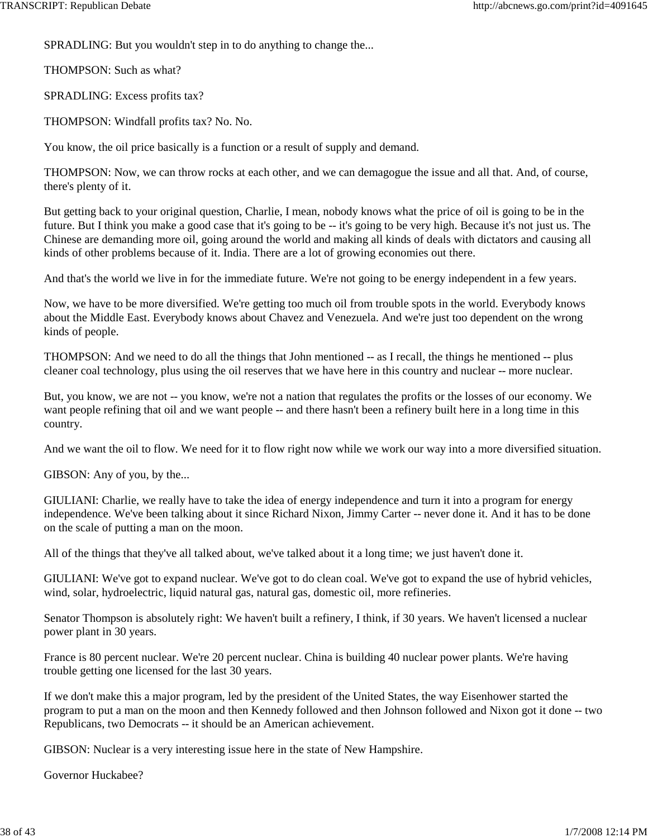SPRADLING: But you wouldn't step in to do anything to change the...

THOMPSON: Such as what?

SPRADLING: Excess profits tax?

THOMPSON: Windfall profits tax? No. No.

You know, the oil price basically is a function or a result of supply and demand.

THOMPSON: Now, we can throw rocks at each other, and we can demagogue the issue and all that. And, of course, there's plenty of it.

But getting back to your original question, Charlie, I mean, nobody knows what the price of oil is going to be in the future. But I think you make a good case that it's going to be -- it's going to be very high. Because it's not just us. The Chinese are demanding more oil, going around the world and making all kinds of deals with dictators and causing all kinds of other problems because of it. India. There are a lot of growing economies out there.

And that's the world we live in for the immediate future. We're not going to be energy independent in a few years.

Now, we have to be more diversified. We're getting too much oil from trouble spots in the world. Everybody knows about the Middle East. Everybody knows about Chavez and Venezuela. And we're just too dependent on the wrong kinds of people.

THOMPSON: And we need to do all the things that John mentioned -- as I recall, the things he mentioned -- plus cleaner coal technology, plus using the oil reserves that we have here in this country and nuclear -- more nuclear.

But, you know, we are not -- you know, we're not a nation that regulates the profits or the losses of our economy. We want people refining that oil and we want people -- and there hasn't been a refinery built here in a long time in this country.

And we want the oil to flow. We need for it to flow right now while we work our way into a more diversified situation.

GIBSON: Any of you, by the...

GIULIANI: Charlie, we really have to take the idea of energy independence and turn it into a program for energy independence. We've been talking about it since Richard Nixon, Jimmy Carter -- never done it. And it has to be done on the scale of putting a man on the moon.

All of the things that they've all talked about, we've talked about it a long time; we just haven't done it.

GIULIANI: We've got to expand nuclear. We've got to do clean coal. We've got to expand the use of hybrid vehicles, wind, solar, hydroelectric, liquid natural gas, natural gas, domestic oil, more refineries.

Senator Thompson is absolutely right: We haven't built a refinery, I think, if 30 years. We haven't licensed a nuclear power plant in 30 years.

France is 80 percent nuclear. We're 20 percent nuclear. China is building 40 nuclear power plants. We're having trouble getting one licensed for the last 30 years.

If we don't make this a major program, led by the president of the United States, the way Eisenhower started the program to put a man on the moon and then Kennedy followed and then Johnson followed and Nixon got it done -- two Republicans, two Democrats -- it should be an American achievement.

GIBSON: Nuclear is a very interesting issue here in the state of New Hampshire.

Governor Huckabee?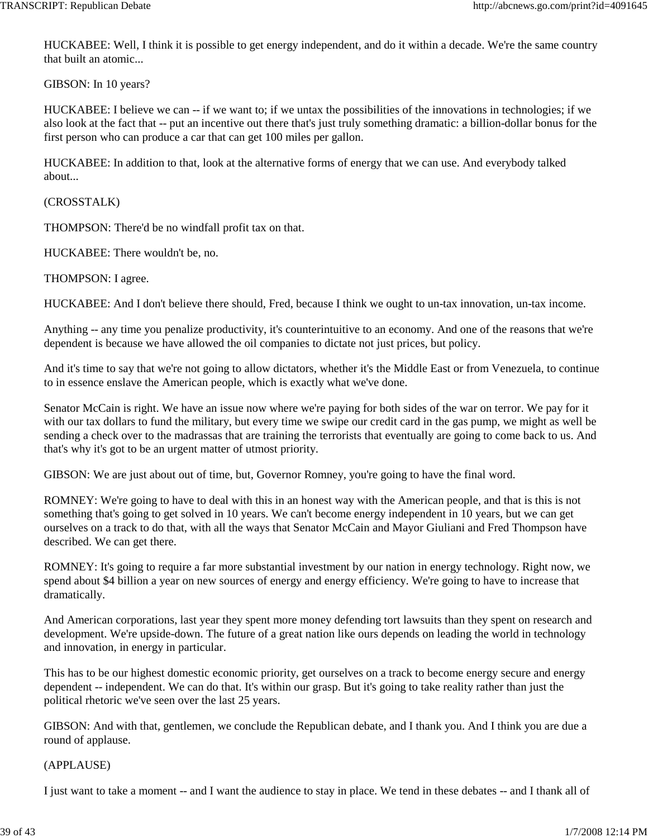HUCKABEE: Well, I think it is possible to get energy independent, and do it within a decade. We're the same country that built an atomic...

GIBSON: In 10 years?

HUCKABEE: I believe we can -- if we want to; if we untax the possibilities of the innovations in technologies; if we also look at the fact that -- put an incentive out there that's just truly something dramatic: a billion-dollar bonus for the first person who can produce a car that can get 100 miles per gallon.

HUCKABEE: In addition to that, look at the alternative forms of energy that we can use. And everybody talked about...

(CROSSTALK)

THOMPSON: There'd be no windfall profit tax on that.

HUCKABEE: There wouldn't be, no.

THOMPSON: I agree.

HUCKABEE: And I don't believe there should, Fred, because I think we ought to un-tax innovation, un-tax income.

Anything -- any time you penalize productivity, it's counterintuitive to an economy. And one of the reasons that we're dependent is because we have allowed the oil companies to dictate not just prices, but policy.

And it's time to say that we're not going to allow dictators, whether it's the Middle East or from Venezuela, to continue to in essence enslave the American people, which is exactly what we've done.

Senator McCain is right. We have an issue now where we're paying for both sides of the war on terror. We pay for it with our tax dollars to fund the military, but every time we swipe our credit card in the gas pump, we might as well be sending a check over to the madrassas that are training the terrorists that eventually are going to come back to us. And that's why it's got to be an urgent matter of utmost priority.

GIBSON: We are just about out of time, but, Governor Romney, you're going to have the final word.

ROMNEY: We're going to have to deal with this in an honest way with the American people, and that is this is not something that's going to get solved in 10 years. We can't become energy independent in 10 years, but we can get ourselves on a track to do that, with all the ways that Senator McCain and Mayor Giuliani and Fred Thompson have described. We can get there.

ROMNEY: It's going to require a far more substantial investment by our nation in energy technology. Right now, we spend about \$4 billion a year on new sources of energy and energy efficiency. We're going to have to increase that dramatically.

And American corporations, last year they spent more money defending tort lawsuits than they spent on research and development. We're upside-down. The future of a great nation like ours depends on leading the world in technology and innovation, in energy in particular.

This has to be our highest domestic economic priority, get ourselves on a track to become energy secure and energy dependent -- independent. We can do that. It's within our grasp. But it's going to take reality rather than just the political rhetoric we've seen over the last 25 years.

GIBSON: And with that, gentlemen, we conclude the Republican debate, and I thank you. And I think you are due a round of applause.

(APPLAUSE)

I just want to take a moment -- and I want the audience to stay in place. We tend in these debates -- and I thank all of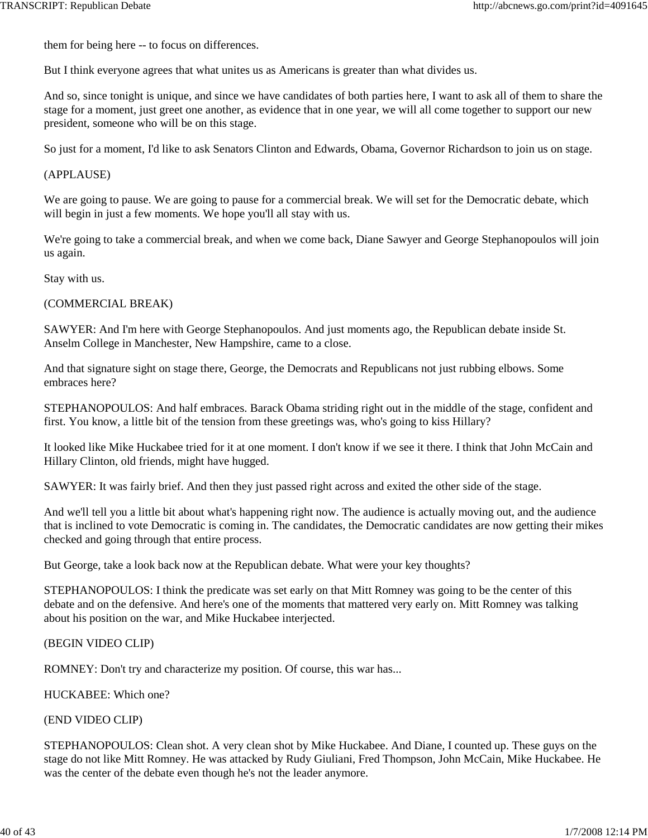them for being here -- to focus on differences.

But I think everyone agrees that what unites us as Americans is greater than what divides us.

And so, since tonight is unique, and since we have candidates of both parties here, I want to ask all of them to share the stage for a moment, just greet one another, as evidence that in one year, we will all come together to support our new president, someone who will be on this stage.

So just for a moment, I'd like to ask Senators Clinton and Edwards, Obama, Governor Richardson to join us on stage.

# (APPLAUSE)

We are going to pause. We are going to pause for a commercial break. We will set for the Democratic debate, which will begin in just a few moments. We hope you'll all stay with us.

We're going to take a commercial break, and when we come back, Diane Sawyer and George Stephanopoulos will join us again.

Stay with us.

# (COMMERCIAL BREAK)

SAWYER: And I'm here with George Stephanopoulos. And just moments ago, the Republican debate inside St. Anselm College in Manchester, New Hampshire, came to a close.

And that signature sight on stage there, George, the Democrats and Republicans not just rubbing elbows. Some embraces here?

STEPHANOPOULOS: And half embraces. Barack Obama striding right out in the middle of the stage, confident and first. You know, a little bit of the tension from these greetings was, who's going to kiss Hillary?

It looked like Mike Huckabee tried for it at one moment. I don't know if we see it there. I think that John McCain and Hillary Clinton, old friends, might have hugged.

SAWYER: It was fairly brief. And then they just passed right across and exited the other side of the stage.

And we'll tell you a little bit about what's happening right now. The audience is actually moving out, and the audience that is inclined to vote Democratic is coming in. The candidates, the Democratic candidates are now getting their mikes checked and going through that entire process.

But George, take a look back now at the Republican debate. What were your key thoughts?

STEPHANOPOULOS: I think the predicate was set early on that Mitt Romney was going to be the center of this debate and on the defensive. And here's one of the moments that mattered very early on. Mitt Romney was talking about his position on the war, and Mike Huckabee interjected.

## (BEGIN VIDEO CLIP)

ROMNEY: Don't try and characterize my position. Of course, this war has...

HUCKABEE: Which one?

## (END VIDEO CLIP)

STEPHANOPOULOS: Clean shot. A very clean shot by Mike Huckabee. And Diane, I counted up. These guys on the stage do not like Mitt Romney. He was attacked by Rudy Giuliani, Fred Thompson, John McCain, Mike Huckabee. He was the center of the debate even though he's not the leader anymore.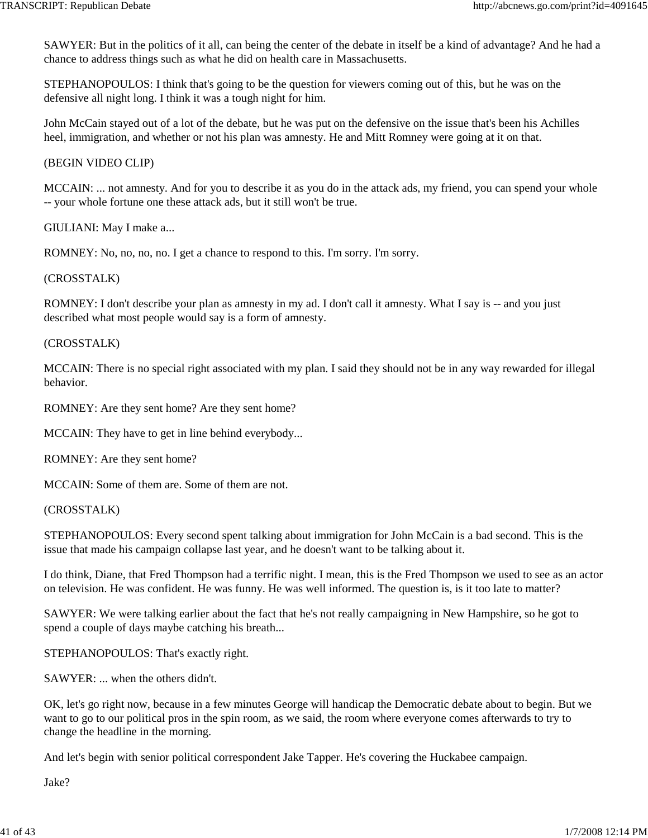SAWYER: But in the politics of it all, can being the center of the debate in itself be a kind of advantage? And he had a chance to address things such as what he did on health care in Massachusetts.

STEPHANOPOULOS: I think that's going to be the question for viewers coming out of this, but he was on the defensive all night long. I think it was a tough night for him.

John McCain stayed out of a lot of the debate, but he was put on the defensive on the issue that's been his Achilles heel, immigration, and whether or not his plan was amnesty. He and Mitt Romney were going at it on that.

(BEGIN VIDEO CLIP)

MCCAIN: ... not amnesty. And for you to describe it as you do in the attack ads, my friend, you can spend your whole -- your whole fortune one these attack ads, but it still won't be true.

GIULIANI: May I make a...

ROMNEY: No, no, no, no. I get a chance to respond to this. I'm sorry. I'm sorry.

# (CROSSTALK)

ROMNEY: I don't describe your plan as amnesty in my ad. I don't call it amnesty. What I say is -- and you just described what most people would say is a form of amnesty.

#### (CROSSTALK)

MCCAIN: There is no special right associated with my plan. I said they should not be in any way rewarded for illegal behavior.

ROMNEY: Are they sent home? Are they sent home?

MCCAIN: They have to get in line behind everybody...

ROMNEY: Are they sent home?

MCCAIN: Some of them are. Some of them are not.

# (CROSSTALK)

STEPHANOPOULOS: Every second spent talking about immigration for John McCain is a bad second. This is the issue that made his campaign collapse last year, and he doesn't want to be talking about it.

I do think, Diane, that Fred Thompson had a terrific night. I mean, this is the Fred Thompson we used to see as an actor on television. He was confident. He was funny. He was well informed. The question is, is it too late to matter?

SAWYER: We were talking earlier about the fact that he's not really campaigning in New Hampshire, so he got to spend a couple of days maybe catching his breath...

STEPHANOPOULOS: That's exactly right.

SAWYER: ... when the others didn't.

OK, let's go right now, because in a few minutes George will handicap the Democratic debate about to begin. But we want to go to our political pros in the spin room, as we said, the room where everyone comes afterwards to try to change the headline in the morning.

And let's begin with senior political correspondent Jake Tapper. He's covering the Huckabee campaign.

Jake?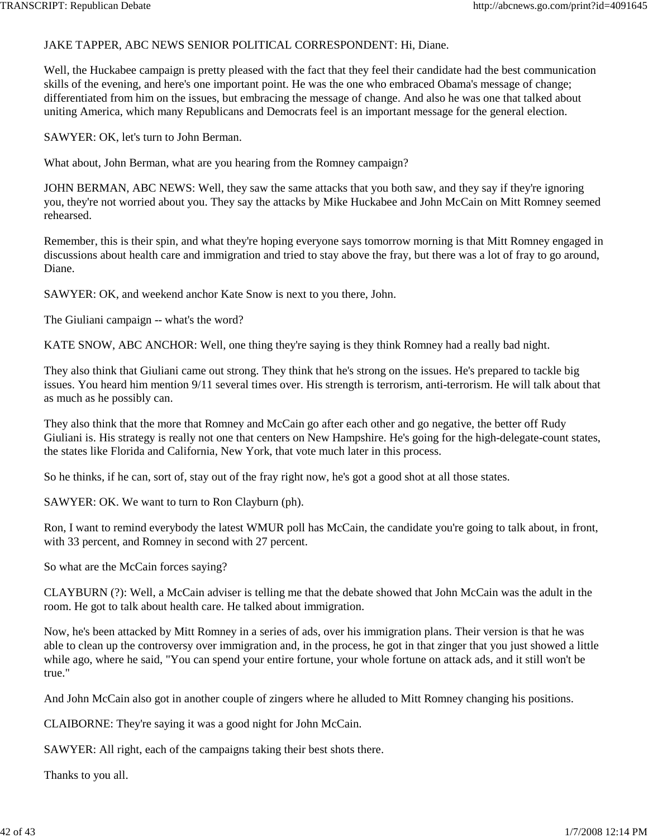# JAKE TAPPER, ABC NEWS SENIOR POLITICAL CORRESPONDENT: Hi, Diane.

Well, the Huckabee campaign is pretty pleased with the fact that they feel their candidate had the best communication skills of the evening, and here's one important point. He was the one who embraced Obama's message of change; differentiated from him on the issues, but embracing the message of change. And also he was one that talked about uniting America, which many Republicans and Democrats feel is an important message for the general election.

SAWYER: OK, let's turn to John Berman.

What about, John Berman, what are you hearing from the Romney campaign?

JOHN BERMAN, ABC NEWS: Well, they saw the same attacks that you both saw, and they say if they're ignoring you, they're not worried about you. They say the attacks by Mike Huckabee and John McCain on Mitt Romney seemed rehearsed.

Remember, this is their spin, and what they're hoping everyone says tomorrow morning is that Mitt Romney engaged in discussions about health care and immigration and tried to stay above the fray, but there was a lot of fray to go around, Diane.

SAWYER: OK, and weekend anchor Kate Snow is next to you there, John.

The Giuliani campaign -- what's the word?

KATE SNOW, ABC ANCHOR: Well, one thing they're saying is they think Romney had a really bad night.

They also think that Giuliani came out strong. They think that he's strong on the issues. He's prepared to tackle big issues. You heard him mention 9/11 several times over. His strength is terrorism, anti-terrorism. He will talk about that as much as he possibly can.

They also think that the more that Romney and McCain go after each other and go negative, the better off Rudy Giuliani is. His strategy is really not one that centers on New Hampshire. He's going for the high-delegate-count states, the states like Florida and California, New York, that vote much later in this process.

So he thinks, if he can, sort of, stay out of the fray right now, he's got a good shot at all those states.

SAWYER: OK. We want to turn to Ron Clayburn (ph).

Ron, I want to remind everybody the latest WMUR poll has McCain, the candidate you're going to talk about, in front, with 33 percent, and Romney in second with 27 percent.

So what are the McCain forces saying?

CLAYBURN (?): Well, a McCain adviser is telling me that the debate showed that John McCain was the adult in the room. He got to talk about health care. He talked about immigration.

Now, he's been attacked by Mitt Romney in a series of ads, over his immigration plans. Their version is that he was able to clean up the controversy over immigration and, in the process, he got in that zinger that you just showed a little while ago, where he said, "You can spend your entire fortune, your whole fortune on attack ads, and it still won't be true."

And John McCain also got in another couple of zingers where he alluded to Mitt Romney changing his positions.

CLAIBORNE: They're saying it was a good night for John McCain.

SAWYER: All right, each of the campaigns taking their best shots there.

Thanks to you all.